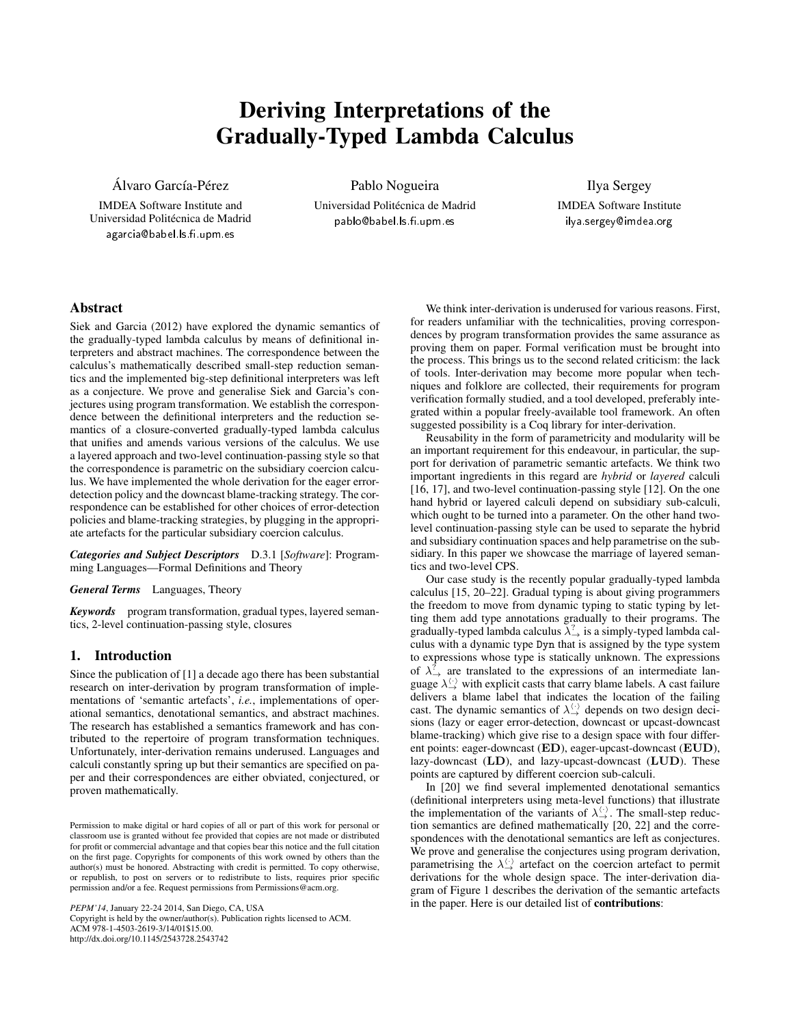# Deriving Interpretations of the Gradually-Typed Lambda Calculus

Álvaro García-Pérez

IMDEA Software Institute and Universidad Politécnica de Madrid agarcia@babel.ls.fi.upm.es

Pablo Nogueira Universidad Politécnica de Madrid pablo@babel.ls.fi.upm.es

Ilya Sergey IMDEA Software Institute ilya.sergey@imdea.org

## Abstract

Siek and Garcia (2012) have explored the dynamic semantics of the gradually-typed lambda calculus by means of definitional interpreters and abstract machines. The correspondence between the calculus's mathematically described small-step reduction semantics and the implemented big-step definitional interpreters was left as a conjecture. We prove and generalise Siek and Garcia's conjectures using program transformation. We establish the correspondence between the definitional interpreters and the reduction semantics of a closure-converted gradually-typed lambda calculus that unifies and amends various versions of the calculus. We use a layered approach and two-level continuation-passing style so that the correspondence is parametric on the subsidiary coercion calculus. We have implemented the whole derivation for the eager errordetection policy and the downcast blame-tracking strategy. The correspondence can be established for other choices of error-detection policies and blame-tracking strategies, by plugging in the appropriate artefacts for the particular subsidiary coercion calculus.

*Categories and Subject Descriptors* D.3.1 [*Software*]: Programming Languages—Formal Definitions and Theory

*General Terms* Languages, Theory

*Keywords* program transformation, gradual types, layered semantics, 2-level continuation-passing style, closures

#### <span id="page-0-0"></span>1. Introduction

Since the publication of [\[1\]](#page-10-0) a decade ago there has been substantial research on inter-derivation by program transformation of implementations of 'semantic artefacts', *i.e.*, implementations of operational semantics, denotational semantics, and abstract machines. The research has established a semantics framework and has contributed to the repertoire of program transformation techniques. Unfortunately, inter-derivation remains underused. Languages and calculi constantly spring up but their semantics are specified on paper and their correspondences are either obviated, conjectured, or proven mathematically.

*PEPM'14*, January 22-24 2014, San Diego, CA, USA Copyright is held by the owner/author(s). Publication rights licensed to ACM. ACM 978-1-4503-2619-3/14/01\$15.00. http://dx.doi.org/10.1145/2543728.2543742

We think inter-derivation is underused for various reasons. First, for readers unfamiliar with the technicalities, proving correspondences by program transformation provides the same assurance as proving them on paper. Formal verification must be brought into the process. This brings us to the second related criticism: the lack of tools. Inter-derivation may become more popular when techniques and folklore are collected, their requirements for program verification formally studied, and a tool developed, preferably integrated within a popular freely-available tool framework. An often suggested possibility is a Coq library for inter-derivation.

Reusability in the form of parametricity and modularity will be an important requirement for this endeavour, in particular, the support for derivation of parametric semantic artefacts. We think two important ingredients in this regard are *hybrid* or *layered* calculi [\[16,](#page-10-1) [17\]](#page-10-2), and two-level continuation-passing style [\[12\]](#page-10-3). On the one hand hybrid or layered calculi depend on subsidiary sub-calculi, which ought to be turned into a parameter. On the other hand twolevel continuation-passing style can be used to separate the hybrid and subsidiary continuation spaces and help parametrise on the subsidiary. In this paper we showcase the marriage of layered semantics and two-level CPS.

Our case study is the recently popular gradually-typed lambda calculus [\[15,](#page-10-4) [20](#page-10-5)[–22\]](#page-10-6). Gradual typing is about giving programmers the freedom to move from dynamic typing to static typing by letting them add type annotations gradually to their programs. The gradually-typed lambda calculus  $\lambda^2$  is a simply-typed lambda calculus with a dynamic type Dyn that is assigned by the type system to expressions whose type is statically unknown. The expressions of  $\lambda^?$  are translated to the expressions of an intermediate language  $\lambda^{\langle \cdot \rangle}$  with explicit casts that carry blame labels. A cast failure delivers a blame label that indicates the location of the failing cast. The dynamic semantics of  $\lambda_{\rightarrow}^{(1)}$  depends on two design decisions (lazy or eager error-detection, downcast or upcast-downcast blame-tracking) which give rise to a design space with four different points: eager-downcast (ED), eager-upcast-downcast (EUD), lazy-downcast (LD), and lazy-upcast-downcast (LUD). These points are captured by different coercion sub-calculi.

In [\[20\]](#page-10-5) we find several implemented denotational semantics (definitional interpreters using meta-level functions) that illustrate the implementation of the variants of  $\lambda \rightarrow$ . The small-step reduction semantics are defined mathematically [\[20,](#page-10-5) [22\]](#page-10-6) and the correspondences with the denotational semantics are left as conjectures. We prove and generalise the conjectures using program derivation, parametrising the  $\lambda^{\langle \cdot \rangle}$  artefact on the coercion artefact to permit derivations for the whole design space. The inter-derivation diagram of Figure [1](#page-1-0) describes the derivation of the semantic artefacts in the paper. Here is our detailed list of contributions:

Permission to make digital or hard copies of all or part of this work for personal or classroom use is granted without fee provided that copies are not made or distributed for profit or commercial advantage and that copies bear this notice and the full citation on the first page. Copyrights for components of this work owned by others than the author(s) must be honored. Abstracting with credit is permitted. To copy otherwise, or republish, to post on servers or to redistribute to lists, requires prior specific permission and/or a fee. Request permissions from Permissions@acm.org.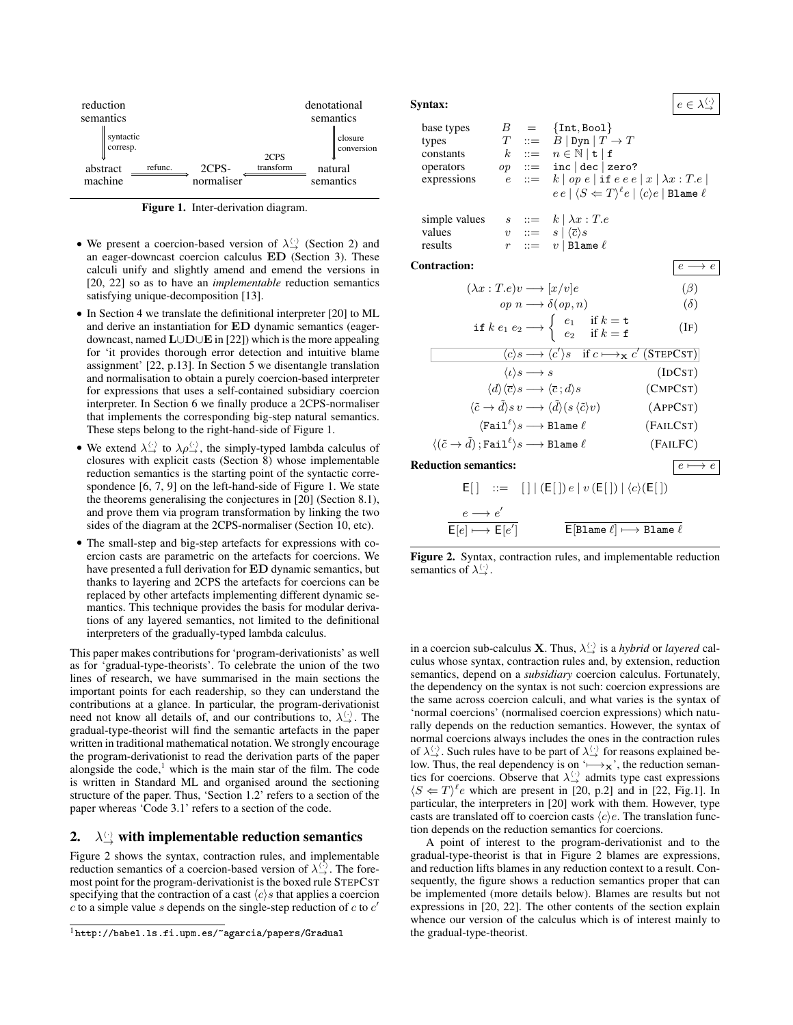| reduction<br>semantics                       |                                |                   | denotational<br>semantics                     |
|----------------------------------------------|--------------------------------|-------------------|-----------------------------------------------|
| syntactic<br>corresp.<br>abstract<br>machine | refunc.<br>2CPS-<br>normaliser | 2CPS<br>transform | closure<br>conversion<br>natural<br>semantics |

<span id="page-1-0"></span>Figure 1. Inter-derivation diagram.

- We present a coercion-based version of  $\lambda \stackrel{\langle \cdot \rangle}{\rightarrow}$  (Section [2\)](#page-1-1) and an eager-downcast coercion calculus ED (Section [3\)](#page-2-0). These calculi unify and slightly amend and emend the versions in [\[20,](#page-10-5) [22\]](#page-10-6) so as to have an *implementable* reduction semantics satisfying unique-decomposition [\[13\]](#page-10-7).
- In Section [4](#page-3-0) we translate the definitional interpreter [\[20\]](#page-10-5) to ML and derive an instantiation for ED dynamic semantics (eagerdowncast, named L∪D∪E in [\[22\]](#page-10-6)) which is the more appealing for 'it provides thorough error detection and intuitive blame assignment' [\[22,](#page-10-6) p.13]. In Section [5](#page-4-0) we disentangle translation and normalisation to obtain a purely coercion-based interpreter for expressions that uses a self-contained subsidiary coercion interpreter. In Section [6](#page-5-0) we finally produce a 2CPS-normaliser that implements the corresponding big-step natural semantics. These steps belong to the right-hand-side of Figure [1.](#page-1-0)
- We extend  $\lambda \stackrel{\langle \cdot \rangle}{\rightarrow}$  to  $\lambda \rho \stackrel{\langle \cdot \rangle}{\rightarrow}$ , the simply-typed lambda calculus of closures with explicit casts (Section [8\)](#page-5-1) whose implementable reduction semantics is the starting point of the syntactic correspondence [\[6,](#page-10-8) [7,](#page-10-9) [9\]](#page-10-10) on the left-hand-side of Figure [1.](#page-1-0) We state the theorems generalising the conjectures in [\[20\]](#page-10-5) (Section [8.1\)](#page-7-0), and prove them via program transformation by linking the two sides of the diagram at the 2CPS-normaliser (Section [10,](#page-8-0) etc).
- The small-step and big-step artefacts for expressions with coercion casts are parametric on the artefacts for coercions. We have presented a full derivation for ED dynamic semantics, but thanks to layering and 2CPS the artefacts for coercions can be replaced by other artefacts implementing different dynamic semantics. This technique provides the basis for modular derivations of any layered semantics, not limited to the definitional interpreters of the gradually-typed lambda calculus.

This paper makes contributions for 'program-derivationists' as well as for 'gradual-type-theorists'. To celebrate the union of the two lines of research, we have summarised in the main sections the important points for each readership, so they can understand the contributions at a glance. In particular, the program-derivationist need not know all details of, and our contributions to,  $\lambda \rightarrow$ . The gradual-type-theorist will find the semantic artefacts in the paper written in traditional mathematical notation. We strongly encourage the program-derivationist to read the derivation parts of the paper alongside the code, $<sup>1</sup>$  $<sup>1</sup>$  $<sup>1</sup>$  which is the main star of the film. The code</sup> is written in Standard ML and organised around the sectioning structure of the paper. Thus, 'Section 1.2' refers to a section of the paper whereas 'Code 3.1' refers to a section of the code.

# <span id="page-1-1"></span>2.  $\lambda_{\rightarrow}^{(.)}$  with implementable reduction semantics

Figure [2](#page-1-3) shows the syntax, contraction rules, and implementable reduction semantics of a coercion-based version of  $\lambda \rightarrow$ . The foremost point for the program-derivationist is the boxed rule STEPCST specifying that the contraction of a cast  $\langle c \rangle$  that applies a coercion  $c$  to a simple value  $s$  depends on the single-step reduction of  $c$  to  $c'$ 

#### Syntax:

| base types<br>types<br>constants<br>operators<br>expressions                                                       | $T$ ::=                                                                                               | $B = \{Int, Bool\}$<br>$B   Dyn   T \rightarrow T$<br>$k$ : $n \in \mathbb{N} \setminus t$<br>$op ::=$ inc dec zero?<br>$e$ : $=$ $k   op e  $ if $e e e   x   \lambda x : T.e  $<br>$e e   \langle S \leftarrow T \rangle^{\ell} e   \langle c \rangle e  $ Blame $\ell$ |                       |
|--------------------------------------------------------------------------------------------------------------------|-------------------------------------------------------------------------------------------------------|---------------------------------------------------------------------------------------------------------------------------------------------------------------------------------------------------------------------------------------------------------------------------|-----------------------|
| simple values<br>values<br>results                                                                                 |                                                                                                       | $\begin{array}{rcl} s & ::= & k \mid \lambda x : T.e \\ v & ::= & s \mid \langle \overline{c} \rangle s \end{array}$<br>$r$ ::= $v \mid$ Blame $\ell$                                                                                                                     |                       |
| <b>Contraction:</b>                                                                                                |                                                                                                       |                                                                                                                                                                                                                                                                           | $e \longrightarrow e$ |
|                                                                                                                    | $(\lambda x : T.e)v \longrightarrow [x/v]e$                                                           |                                                                                                                                                                                                                                                                           | $(\beta)$             |
|                                                                                                                    |                                                                                                       | op $n \longrightarrow \delta(op, n)$                                                                                                                                                                                                                                      | $(\delta)$            |
|                                                                                                                    |                                                                                                       | if $k e_1 e_2 \longrightarrow \begin{cases} e_1 & \text{if } k = \mathbf{t} \\ e_2 & \text{if } k = \mathbf{f} \end{cases}$                                                                                                                                               | $(\mathrm{IF})$       |
|                                                                                                                    |                                                                                                       | $\langle c \rangle$ s $\longrightarrow \langle c' \rangle$ s if $c \longmapsto$ <b>x</b> $c'$ (STEPCST)                                                                                                                                                                   |                       |
|                                                                                                                    | $\langle \iota \rangle s \longrightarrow s$                                                           |                                                                                                                                                                                                                                                                           | (IDENT)               |
|                                                                                                                    | $\langle d \rangle \langle \overline{c} \rangle s \longrightarrow \langle \overline{c} ; d \rangle s$ |                                                                                                                                                                                                                                                                           | (CMPCST)              |
|                                                                                                                    |                                                                                                       | $\langle \tilde{c} \rightarrow \tilde{d} \rangle$ s v $\longrightarrow \langle \tilde{d} \rangle$ (s $\langle \tilde{c} \rangle$ v)                                                                                                                                       | (APPCST)              |
|                                                                                                                    | $\langle \texttt{Fail}^\ell \rangle s \longrightarrow \texttt{Blame} \ \ell$                          |                                                                                                                                                                                                                                                                           | (FAILCST)             |
| $\langle (\tilde{c} \rightarrow \tilde{d}) : \texttt{Fail}^{\ell} \rangle s \longrightarrow \texttt{Blame} \ \ell$ |                                                                                                       |                                                                                                                                                                                                                                                                           | (FAILFC)              |
| <b>Reduction semantics:</b>                                                                                        |                                                                                                       |                                                                                                                                                                                                                                                                           | $e \mapsto e$         |
|                                                                                                                    |                                                                                                       | $E[\ ]$ ::= $[     (E[]) e   v (E[])   \langle c \rangle (E[])$                                                                                                                                                                                                           |                       |
| $e \rightarrow e'$<br>$E[e] \longmapsto E[e']$                                                                     |                                                                                                       | $E[\text{Blame }\ell] \longmapsto \text{Blame }\ell$                                                                                                                                                                                                                      |                       |

<span id="page-1-3"></span>Figure 2. Syntax, contraction rules, and implementable reduction semantics of  $\lambda_{\rightarrow}^{\langle \cdot \rangle}$ .

in a coercion sub-calculus **X**. Thus,  $\lambda \stackrel{\langle \cdot \rangle}{\rightarrow}$  is a *hybrid* or *layered* calculus whose syntax, contraction rules and, by extension, reduction semantics, depend on a *subsidiary* coercion calculus. Fortunately, the dependency on the syntax is not such: coercion expressions are the same across coercion calculi, and what varies is the syntax of 'normal coercions' (normalised coercion expressions) which naturally depends on the reduction semantics. However, the syntax of normal coercions always includes the ones in the contraction rules of  $\lambda^{\langle \cdot \rangle}$ . Such rules have to be part of  $\lambda^{\langle \cdot \rangle}$  for reasons explained below. Thus, the real dependency is on ' $\rightarrow$ <sub>x</sub>', the reduction semantics for coercions. Observe that  $\lambda_{\rightarrow}^{(.)}$  admits type cast expressions  $\langle S \leftarrow T \rangle^e$ e which are present in [\[20,](#page-10-5) p.2] and in [\[22,](#page-10-6) Fig.1]. In particular, the interpreters in [\[20\]](#page-10-5) work with them. However, type casts are translated off to coercion casts  $\langle c \rangle e$ . The translation function depends on the reduction semantics for coercions.

A point of interest to the program-derivationist and to the gradual-type-theorist is that in Figure [2](#page-1-3) blames are expressions, and reduction lifts blames in any reduction context to a result. Consequently, the figure shows a reduction semantics proper that can be implemented (more details below). Blames are results but not expressions in [\[20,](#page-10-5) [22\]](#page-10-6). The other contents of the section explain whence our version of the calculus which is of interest mainly to the gradual-type-theorist.

 $e \in \lambda_{\rightarrow}^{\langle \cdot \rangle}$ 

<span id="page-1-2"></span><sup>1</sup> http://babel.ls.fi.upm.es/~agarcia/papers/Gradual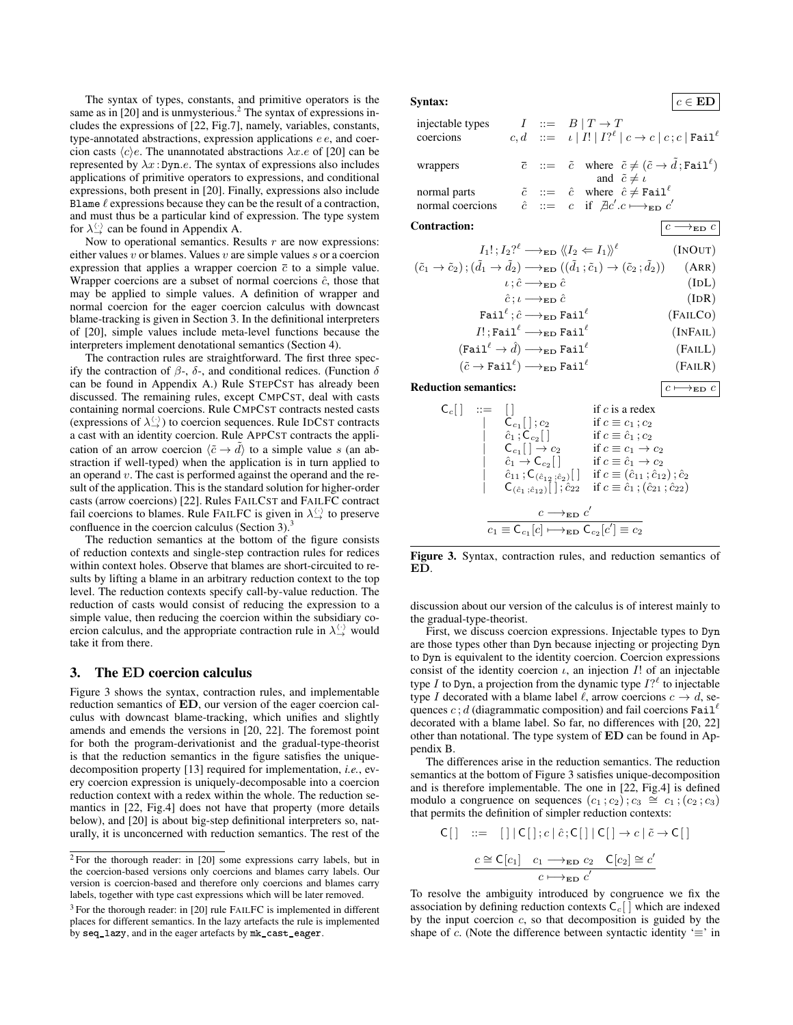The syntax of types, constants, and primitive operators is the same as in  $[20]$  and is unmysterious.<sup>[2](#page-2-1)</sup> The syntax of expressions includes the expressions of [\[22,](#page-10-6) Fig.7], namely, variables, constants, type-annotated abstractions, expression applications e e, and coercion casts  $\langle c \rangle e$ . The unannotated abstractions  $\lambda x.e$  of [\[20\]](#page-10-5) can be represented by  $\lambda x$ : Dyn.e. The syntax of expressions also includes applications of primitive operators to expressions, and conditional expressions, both present in [\[20\]](#page-10-5). Finally, expressions also include Blame  $\ell$  expressions because they can be the result of a contraction, and must thus be a particular kind of expression. The type system for  $\lambda_{\rightarrow}^{(1)}$  can be found in Appendix [A.](#page-10-11)

Now to operational semantics. Results  $r$  are now expressions: either values  $v$  or blames. Values  $v$  are simple values  $s$  or a coercion expression that applies a wrapper coercion  $\bar{c}$  to a simple value. Wrapper coercions are a subset of normal coercions  $\hat{c}$ , those that may be applied to simple values. A definition of wrapper and normal coercion for the eager coercion calculus with downcast blame-tracking is given in Section [3.](#page-2-0) In the definitional interpreters of [\[20\]](#page-10-5), simple values include meta-level functions because the interpreters implement denotational semantics (Section [4\)](#page-3-0).

The contraction rules are straightforward. The first three specify the contraction of  $\beta$ -,  $\delta$ -, and conditional redices. (Function δ can be found in Appendix [A.](#page-10-11)) Rule STEPCST has already been discussed. The remaining rules, except CMPCST, deal with casts containing normal coercions. Rule CMPCST contracts nested casts (expressions of  $\lambda_{\rightarrow}^{(1)}$ ) to coercion sequences. Rule IDCST contracts a cast with an identity coercion. Rule APPCST contracts the application of an arrow coercion  $\langle \tilde{c} \rightarrow \tilde{d} \rangle$  to a simple value s (an abstraction if well-typed) when the application is in turn applied to an operand  $v$ . The cast is performed against the operand and the result of the application. This is the standard solution for higher-order casts (arrow coercions) [\[22\]](#page-10-6). Rules FAILCST and FAILFC contract fail coercions to blames. Rule FAILFC is given in  $\lambda^{\langle \cdot \rangle}$  to preserve confluence in the coercion calculus (Section [3\)](#page-2-0). $3$ 

The reduction semantics at the bottom of the figure consists of reduction contexts and single-step contraction rules for redices within context holes. Observe that blames are short-circuited to results by lifting a blame in an arbitrary reduction context to the top level. The reduction contexts specify call-by-value reduction. The reduction of casts would consist of reducing the expression to a simple value, then reducing the coercion within the subsidiary coercion calculus, and the appropriate contraction rule in  $\lambda_{\rightarrow}^{(+)}$  would take it from there.

#### <span id="page-2-0"></span>3. The ED coercion calculus

Figure [3](#page-2-3) shows the syntax, contraction rules, and implementable reduction semantics of ED, our version of the eager coercion calculus with downcast blame-tracking, which unifies and slightly amends and emends the versions in [\[20,](#page-10-5) [22\]](#page-10-6). The foremost point for both the program-derivationist and the gradual-type-theorist is that the reduction semantics in the figure satisfies the uniquedecomposition property [\[13\]](#page-10-7) required for implementation, *i.e.*, every coercion expression is uniquely-decomposable into a coercion reduction context with a redex within the whole. The reduction semantics in [\[22,](#page-10-6) Fig.4] does not have that property (more details below), and [\[20\]](#page-10-5) is about big-step definitional interpreters so, naturally, it is unconcerned with reduction semantics. The rest of the

| injectable types<br>coercions    |  | $I \ :: = \ B \mid T \to T$<br>$c, d$ ::= $\iota  I   I ^{\ell}   c \rightarrow c   c; c   \text{Fair}^{\ell}$                       |
|----------------------------------|--|--------------------------------------------------------------------------------------------------------------------------------------|
| wrappers                         |  | $\bar{c}$ ::= $\tilde{c}$ where $\tilde{c} \neq (\tilde{c} \rightarrow \tilde{d}; \text{Fail}^{\ell})$<br>and $\tilde{c} \neq \iota$ |
| normal parts<br>normal coercions |  | $\tilde{c}$ ::= $\hat{c}$ where $\hat{c} \neq \text{Fall}^{\ell}$<br>$\hat{c}$ ::= c if $\exists c'.c \longmapsto_{\text{ED}} c'$    |

Contraction:  $\boxed{c \rightarrow_{\text{ED}} c}$ 

$$
I_{1}!; I_{2}?
$$

$$
(\tilde{c}_{1} \rightarrow \tilde{c}_{2}); (\tilde{d}_{1} \rightarrow \tilde{d}_{2}) \rightarrow_{ED} ((\tilde{d}_{1}; \tilde{c}_{1}) \rightarrow (\tilde{c}_{2}; \tilde{d}_{2}))
$$
(INOUT)  

$$
(\tilde{c}_{1} \rightarrow \tilde{c}_{2}); (\tilde{d}_{1} \rightarrow \tilde{d}_{2}) \rightarrow_{ED} ((\tilde{d}_{1}; \tilde{c}_{1}) \rightarrow (\tilde{c}_{2}; \tilde{d}_{2}))
$$
(ARR)  

$$
\iota; \hat{c} \rightarrow_{ED} \hat{c}
$$
(IDL)  

$$
\tilde{c}; \iota \rightarrow_{ED} \tilde{c}
$$
(IPR)  
Fair<sup>ℓ</sup>;  $\hat{c} \rightarrow_{ED} \text{ Fair}^{\ell}$  (FAILCO)  

$$
I!; \text{Fair}^{\ell} \rightarrow \hat{d}) \rightarrow_{ED} \text{Fair}^{\ell}
$$
(NAILL)  

$$
(\tilde{c} \rightarrow \text{Tail}^{\ell}) \rightarrow_{ED} \text{Fair}^{\ell}
$$
(FAILL)  
(FAILL)

Reduction semantics:  $c \mapsto_{\text{ED}} c$ 

| $\mathsf{C}_c[\;]\quad ::=$ | $C_{c_1}[\;]$ ; $c_2$<br>$\hat{c}_1$ ; $C_{c_2}$ []<br>$C_{c_1}$ $\rightarrow$ $c_2$<br>$\hat{c}_1 \rightarrow \mathsf{C}_{c_2}$<br>$\hat{c}_{11}$ ; $C_{(\hat{c}_{12};\hat{c}_2)}$ [] | if $c$ is a redex<br>if $c \equiv c_1$ ; $c_2$<br>if $c \equiv \hat{c}_1$ ; $c_2$<br>if $c \equiv c_1 \rightarrow c_2$<br>if $c \equiv \hat{c}_1 \rightarrow c_2$<br>if $c \equiv (\hat{c}_{11}; \hat{c}_{12}); \hat{c}_2$ |
|-----------------------------|----------------------------------------------------------------------------------------------------------------------------------------------------------------------------------------|----------------------------------------------------------------------------------------------------------------------------------------------------------------------------------------------------------------------------|
|                             | $C_{(\hat{c}_1;\hat{c}_{12})}$ []; $\hat{c}_{22}$                                                                                                                                      | if $c \equiv \hat{c}_1$ ; $(\hat{c}_{21}; \hat{c}_{22})$                                                                                                                                                                   |
|                             | $c \rightarrow_{\text{ED}} c'$                                                                                                                                                         |                                                                                                                                                                                                                            |
|                             | $c_1 \equiv \mathsf{C}_{c_1}[c] \longmapsto_{\mathbf{ED}} \mathsf{C}_{c_2}[c'] \equiv c_2$                                                                                             |                                                                                                                                                                                                                            |

<span id="page-2-3"></span>

discussion about our version of the calculus is of interest mainly to the gradual-type-theorist.

First, we discuss coercion expressions. Injectable types to Dyn are those types other than Dyn because injecting or projecting Dyn to Dyn is equivalent to the identity coercion. Coercion expressions consist of the identity coercion  $\iota$ , an injection  $I!$  of an injectable type I to Dyn, a projection from the dynamic type  $I?^{\ell}$  to injectable type I decorated with a blame label  $\ell$ , arrow coercions  $c \to d$ , sequences  $c$ ; d (diagrammatic composition) and fail coercions Fail<sup> $t$ </sup> decorated with a blame label. So far, no differences with [\[20,](#page-10-5) [22\]](#page-10-6) other than notational. The type system of ED can be found in Appendix [B.](#page-10-12)

The differences arise in the reduction semantics. The reduction semantics at the bottom of Figure [3](#page-2-3) satisfies unique-decomposition and is therefore implementable. The one in [\[22,](#page-10-6) Fig.4] is defined modulo a congruence on sequences  $(c_1; c_2); c_3 \cong c_1; (c_2; c_3)$ that permits the definition of simpler reduction contexts:

$$
\begin{aligned}\nC[ \quad & ::= \quad [\quad] \mid C[ \quad]; c \mid \hat{c}; C[ \quad] \mid C[ \quad] \to c \mid \tilde{c} \to C[ \quad] \\
& \quad \underline{c \cong C[c_1]} \quad c_1 \longrightarrow_{\text{ED}} c_2 \quad C[c_2] \cong c' \\
& \quad \underline{c \longmapsto_{\text{ED}} c'}\n\end{aligned}
$$

To resolve the ambiguity introduced by congruence we fix the association by defining reduction contexts  $C_c$   $\vert$  which are indexed by the input coercion  $c$ , so that decomposition is guided by the shape of c. (Note the difference between syntactic identity ' $\equiv$ ' in

Syntax:  $c \in \mathbf{ED}$ 

<span id="page-2-1"></span><sup>2</sup> For the thorough reader: in [\[20\]](#page-10-5) some expressions carry labels, but in the coercion-based versions only coercions and blames carry labels. Our version is coercion-based and therefore only coercions and blames carry labels, together with type cast expressions which will be later removed.

<span id="page-2-2"></span><sup>&</sup>lt;sup>3</sup> For the thorough reader: in [\[20\]](#page-10-5) rule FAILFC is implemented in different places for different semantics. In the lazy artefacts the rule is implemented by seq\_lazy, and in the eager artefacts by mk\_cast\_eager.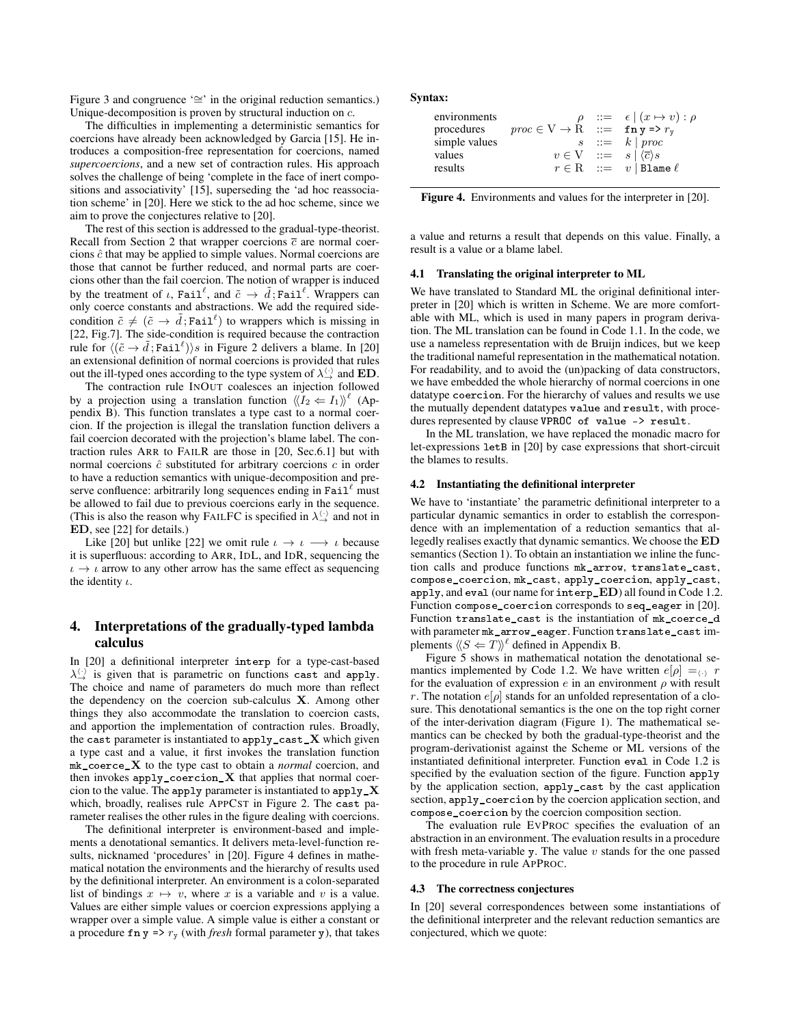Figure [3](#page-2-3) and congruence '≅' in the original reduction semantics.) Unique-decomposition is proven by structural induction on c.

The difficulties in implementing a deterministic semantics for coercions have already been acknowledged by Garcia [\[15\]](#page-10-4). He introduces a composition-free representation for coercions, named *supercoercions*, and a new set of contraction rules. His approach solves the challenge of being 'complete in the face of inert compositions and associativity' [\[15\]](#page-10-4), superseding the 'ad hoc reassociation scheme' in [\[20\]](#page-10-5). Here we stick to the ad hoc scheme, since we aim to prove the conjectures relative to [\[20\]](#page-10-5).

The rest of this section is addressed to the gradual-type-theorist. Recall from Section [2](#page-1-1) that wrapper coercions  $\bar{c}$  are normal coercions  $\hat{c}$  that may be applied to simple values. Normal coercions are those that cannot be further reduced, and normal parts are coercions other than the fail coercion. The notion of wrapper is induced by the treatment of  $\iota$ , Fail<sup> $\ell$ </sup>, and  $\tilde{c} \to \tilde{d}$ ; Fail $\ell$ . Wrappers can only coerce constants and abstractions. We add the required sidecondition  $\tilde{c} \neq (\tilde{c} \to \tilde{d}; \texttt{Fall}^{\ell})$  to wrappers which is missing in [\[22,](#page-10-6) Fig.7]. The side-condition is required because the contraction rule for  $\langle (\tilde{c} \to \tilde{d}; \text{Fair}^{\ell}) \rangle$ s in Figure [2](#page-1-3) delivers a blame. In [\[20\]](#page-10-5) an extensional definition of normal coercions is provided that rules out the ill-typed ones according to the type system of  $\lambda^{\langle \cdot \rangle}$  and **ED**.

The contraction rule INOUT coalesces an injection followed by a projection using a translation function  $\langle \langle I_2 \leftarrow I_1 \rangle \rangle^{\ell}$  (Appendix [B\)](#page-10-12). This function translates a type cast to a normal coercion. If the projection is illegal the translation function delivers a fail coercion decorated with the projection's blame label. The contraction rules ARR to FAILR are those in [\[20,](#page-10-5) Sec.6.1] but with normal coercions  $\hat{c}$  substituted for arbitrary coercions  $c$  in order to have a reduction semantics with unique-decomposition and preserve confluence: arbitrarily long sequences ending in  $\text{Fair}^{\ell}$  must be allowed to fail due to previous coercions early in the sequence. (This is also the reason why FAILFC is specified in  $\lambda_{\rightarrow}^{(.)}$  and not in ED, see [\[22\]](#page-10-6) for details.)

Like [\[20\]](#page-10-5) but unlike [\[22\]](#page-10-6) we omit rule  $\iota \to \iota \to \iota$  because it is superfluous: according to ARR, IDL, and IDR, sequencing the  $\iota \rightarrow \iota$  arrow to any other arrow has the same effect as sequencing the identity  $\iota$ .

## <span id="page-3-0"></span>4. Interpretations of the gradually-typed lambda calculus

In [\[20\]](#page-10-5) a definitional interpreter interp for a type-cast-based  $\lambda \rightarrow \infty$  is given that is parametric on functions cast and apply. The choice and name of parameters do much more than reflect the dependency on the coercion sub-calculus X. Among other things they also accommodate the translation to coercion casts, and apportion the implementation of contraction rules. Broadly, the cast parameter is instantiated to apply\_cast\_X which given a type cast and a value, it first invokes the translation function mk\_coerce\_X to the type cast to obtain a *normal* coercion, and then invokes apply\_coercion\_ $X$  that applies that normal coercion to the value. The apply parameter is instantiated to apply\_X which, broadly, realises rule APPCST in Figure [2.](#page-1-3) The cast parameter realises the other rules in the figure dealing with coercions.

The definitional interpreter is environment-based and implements a denotational semantics. It delivers meta-level-function results, nicknamed 'procedures' in [\[20\]](#page-10-5). Figure [4](#page-3-1) defines in mathematical notation the environments and the hierarchy of results used by the definitional interpreter. An environment is a colon-separated list of bindings  $x \mapsto v$ , where x is a variable and v is a value. Values are either simple values or coercion expressions applying a wrapper over a simple value. A simple value is either a constant or a procedure fn  $y \Rightarrow r_y$  (with *fresh* formal parameter y), that takes Syntax:

| environments<br>procedures<br>simple values | $\textit{proc} \in V \rightarrow R \quad ::= \quad \mathtt{fn} \; \mathtt{y} \Rightarrow r_\mathtt{y}$ | $\rho \quad ::= \quad \epsilon \mid (x \mapsto v) : \rho$<br>$s$ ::= $k \mid proc$                         |
|---------------------------------------------|--------------------------------------------------------------------------------------------------------|------------------------------------------------------------------------------------------------------------|
| values<br>results                           |                                                                                                        | $v \in V$ ::= $s   \langle \overline{c} \rangle s$<br>$r \in \mathbf{R}$ ::= $v \mid \mathtt{Blame}\ \ell$ |
|                                             |                                                                                                        |                                                                                                            |

<span id="page-3-1"></span>Figure 4. Environments and values for the interpreter in [\[20\]](#page-10-5).

a value and returns a result that depends on this value. Finally, a result is a value or a blame label.

#### 4.1 Translating the original interpreter to ML

We have translated to Standard ML the original definitional interpreter in [\[20\]](#page-10-5) which is written in Scheme. We are more comfortable with ML, which is used in many papers in program derivation. The ML translation can be found in Code 1.1. In the code, we use a nameless representation with de Bruijn indices, but we keep the traditional nameful representation in the mathematical notation. For readability, and to avoid the (un)packing of data constructors, we have embedded the whole hierarchy of normal coercions in one datatype coercion. For the hierarchy of values and results we use the mutually dependent datatypes value and result, with procedures represented by clause VPROC of value -> result.

In the ML translation, we have replaced the monadic macro for let-expressions letB in [\[20\]](#page-10-5) by case expressions that short-circuit the blames to results.

#### <span id="page-3-2"></span>4.2 Instantiating the definitional interpreter

We have to 'instantiate' the parametric definitional interpreter to a particular dynamic semantics in order to establish the correspondence with an implementation of a reduction semantics that allegedly realises exactly that dynamic semantics. We choose the ED semantics (Section [1\)](#page-0-0). To obtain an instantiation we inline the function calls and produce functions mk\_arrow, translate\_cast, compose\_coercion, mk\_cast, apply\_coercion, apply\_cast, apply, and eval (our name for interp\_ED) all found in Code 1.2. Function compose\_coercion corresponds to seq\_eager in [\[20\]](#page-10-5). Function translate\_cast is the instantiation of mk\_coerce\_d with parameter mk\_arrow\_eager. Function translate\_cast implements  $\langle\langle S \leftarrow T \rangle\rangle^{\ell}$  defined in Appendix [B.](#page-10-12)

Figure [5](#page-4-1) shows in mathematical notation the denotational semantics implemented by Code 1.2. We have written  $e[\rho] = h \cdot r$ for the evaluation of expression  $e$  in an environment  $\rho$  with result r. The notation  $e[\rho]$  stands for an unfolded representation of a closure. This denotational semantics is the one on the top right corner of the inter-derivation diagram (Figure [1\)](#page-1-0). The mathematical semantics can be checked by both the gradual-type-theorist and the program-derivationist against the Scheme or ML versions of the instantiated definitional interpreter. Function eval in Code 1.2 is specified by the evaluation section of the figure. Function apply by the application section, apply\_cast by the cast application section, apply\_coercion by the coercion application section, and compose\_coercion by the coercion composition section.

The evaluation rule EVPROC specifies the evaluation of an abstraction in an environment. The evaluation results in a procedure with fresh meta-variable y. The value  $v$  stands for the one passed to the procedure in rule APPROC.

#### <span id="page-3-3"></span>4.3 The correctness conjectures

In [\[20\]](#page-10-5) several correspondences between some instantiations of the definitional interpreter and the relevant reduction semantics are conjectured, which we quote: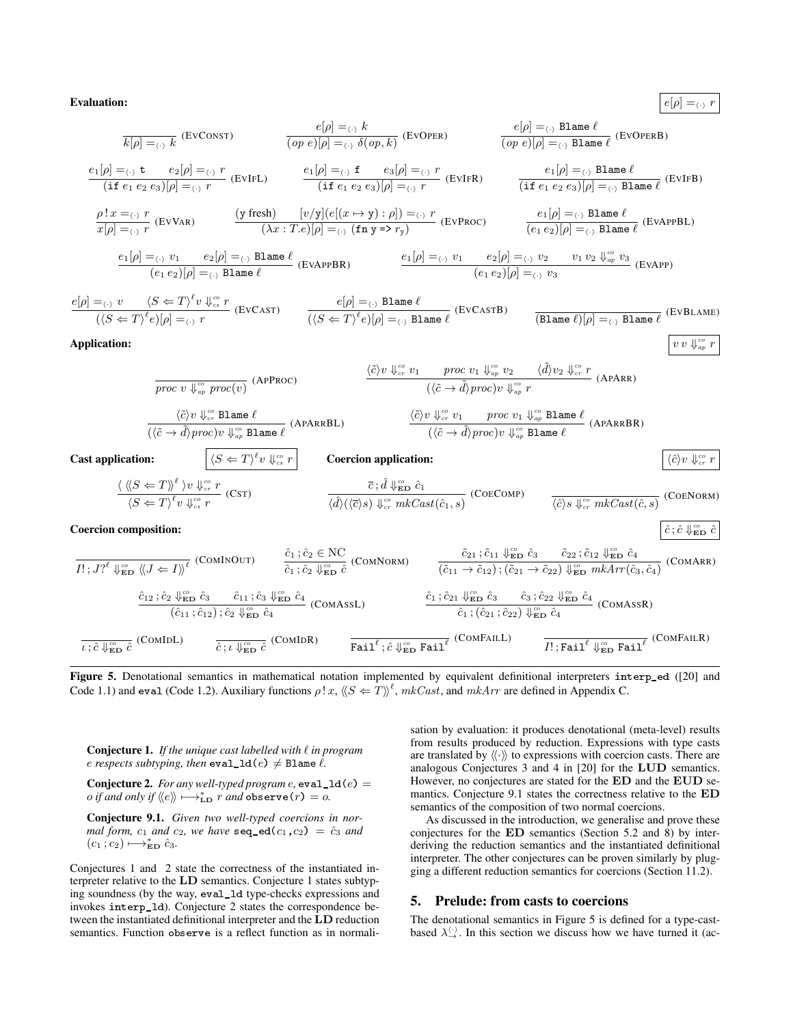**Evaluation:**  $e[\rho] = \langle \cdot, r \rangle$ 

$$
\frac{[c|p] = c_{(1)} k}{k(p) = c_{(1)} k}
$$
 (EVCOST)  
\n
$$
\frac{e[p] = c_{(1)} k}{(op e)[p] = c_{(1)} k}
$$
 (EVOPER)  
\n
$$
\frac{e[p] = c_{(1)} k}{(op e)[p] = c_{(1)} k}
$$
 (EVOPER)  
\n
$$
\frac{e[p] = c_{(1)} k}{(op e)[p] = c_{(1)} k}
$$
 (EVOPER)  
\n
$$
\frac{e[p] = c_{(1)} k}{(op e)[p] = c_{(1)} k}
$$
 (EVOPER)  
\n
$$
\frac{e[p] = c_{(1)} k}{(op e)[p] = c_{(1)} k}
$$
 (EVOPER)  
\n
$$
\frac{e[p] = c_{(1)} k}{(op e [p] = c_{(1)} k}
$$
 (EVOPER)  
\n
$$
\frac{e[p] = c_{(1)} k}{(op e [p] = c_{(1)} k}
$$
 (EVOPER)  
\n
$$
\frac{e[p] = c_{(1)} k}{(op e [p] = c_{(1)} k}
$$
 (EVOPER)  
\n
$$
\frac{e[p] = c_{(1)} k}{(op e [p] = c_{(1)} k}
$$
 (EVOPER)  
\n
$$
\frac{e[p] = c_{(1)} k}{(op e [p] = c_{(1)} k}
$$
 (EVOPER)  
\n
$$
\frac{e[p] = c_{(1)} k}{(op e [p] = c_{(1)} k}
$$
 (EVOPER)  
\n
$$
\frac{e[p] = c_{(1)} k}{(op e [p] = c_{(1)} k}
$$
 (EVOPER)  
\n
$$
\frac{e[p] = c_{(1)} k}{(op e [p] = c_{(1)} k}
$$
 (EVOPER)  
\n
$$
\frac{e[p] = c_{(1)} k}{(op e [p] = c_{(1)} k}
$$
 (EVOPER)  
\n
$$
\frac{e[p] = c_{(1)} k}{(op e [p] = c_{(1)} k}
$$
 (EVOPER)  
\n
$$
\frac{e[p] = c_{(1)} k}{(op e [p] = c_{(1)} k}
$$
 (EVOPER)  
\n
$$
\frac{e[p] = c_{(1)} k
$$

<span id="page-4-1"></span>Figure 5. Denotational semantics in mathematical notation implemented by equivalent definitional interpreters interp\_ed ([\[20\]](#page-10-5) and Code 1.1) and eval (Code 1.2). Auxiliary functions  $\rho! x, \langle\langle S \leftarrow T \rangle\rangle^{\ell}$ ,  $mkCast$ , and  $mkArr$  are defined in Appendix [C.](#page-11-0)

Conjecture 1. *If the unique cast labelled with*  $\ell$  *in program* e respects subtyping, then  $eval\_ld(e) \neq Blame \ell$ .

**Conjecture 2.** *For any well-typed program e, eval\_ld(e) = o* if and only if  $\langle e \rangle \rightarrow$   $\rightarrow$   $_{\mathbf{LD}}^*$  r and <code>observe(r) = 0.</code>

Conjecture 9.1. *Given two well-typed coercions in normal form,*  $c_1$  *and*  $c_2$ *, we have*  $\text{seq\_ed}(c_1, c_2) = \hat{c}_3$  *and*  $(c_1; c_2) \longmapsto_{\mathbf{ED}}^* \hat{c}_3.$ 

Conjectures 1 and 2 state the correctness of the instantiated interpreter relative to the LD semantics. Conjecture 1 states subtyping soundness (by the way, eval\_ld type-checks expressions and invokes interp\_ld). Conjecture 2 states the correspondence between the instantiated definitional interpreter and the LD reduction semantics. Function observe is a reflect function as in normalisation by evaluation: it produces denotational (meta-level) results from results produced by reduction. Expressions with type casts are translated by  $\langle \langle \cdot \rangle \rangle$  to expressions with coercion casts. There are analogous Conjectures 3 and 4 in [\[20\]](#page-10-5) for the LUD semantics. However, no conjectures are stated for the ED and the EUD semantics. Conjecture 9.1 states the correctness relative to the ED semantics of the composition of two normal coercions.

As discussed in the introduction, we generalise and prove these conjectures for the ED semantics (Section [5.2](#page-5-2) and [8\)](#page-5-1) by interderiving the reduction semantics and the instantiated definitional interpreter. The other conjectures can be proven similarly by plugging a different reduction semantics for coercions (Section [11.2\)](#page-9-0).

#### <span id="page-4-0"></span>5. Prelude: from casts to coercions

The denotational semantics in Figure [5](#page-4-1) is defined for a type-castbased  $\lambda_{\rightarrow}^{(1)}$ . In this section we discuss how we have turned it (ac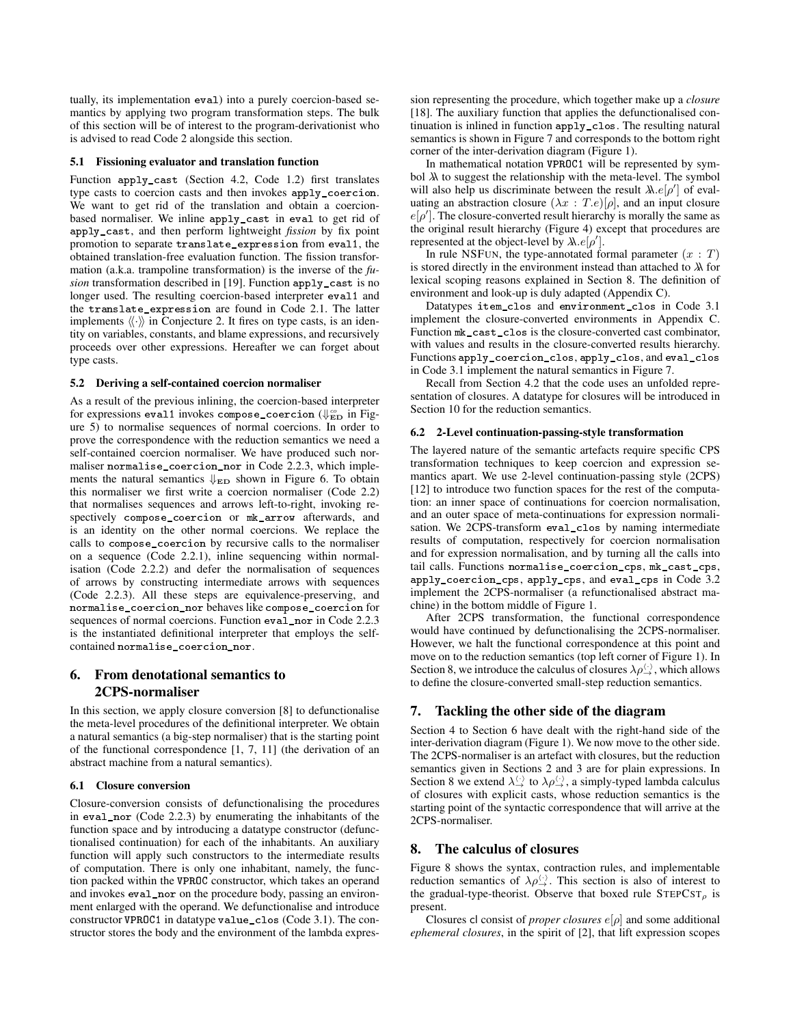tually, its implementation eval) into a purely coercion-based semantics by applying two program transformation steps. The bulk of this section will be of interest to the program-derivationist who is advised to read Code 2 alongside this section.

#### 5.1 Fissioning evaluator and translation function

Function apply\_cast (Section [4.2,](#page-3-2) Code 1.2) first translates type casts to coercion casts and then invokes apply\_coercion. We want to get rid of the translation and obtain a coercionbased normaliser. We inline apply\_cast in eval to get rid of apply\_cast, and then perform lightweight *fission* by fix point promotion to separate translate\_expression from eval1, the obtained translation-free evaluation function. The fission transformation (a.k.a. trampoline transformation) is the inverse of the *fusion* transformation described in [\[19\]](#page-10-13). Function apply\_cast is no longer used. The resulting coercion-based interpreter eval1 and the translate\_expression are found in Code 2.1. The latter implements  $\langle \langle \cdot \rangle \rangle$  in Conjecture 2. It fires on type casts, is an identity on variables, constants, and blame expressions, and recursively proceeds over other expressions. Hereafter we can forget about type casts.

#### <span id="page-5-2"></span>5.2 Deriving a self-contained coercion normaliser

As a result of the previous inlining, the coercion-based interpreter for expressions eval1 invokes compose\_coercion ( $\Downarrow_{\text{ED}}^{\infty}$  in Figure [5\)](#page-4-1) to normalise sequences of normal coercions. In order to prove the correspondence with the reduction semantics we need a self-contained coercion normaliser. We have produced such normaliser normalise\_coercion\_nor in Code 2.2.3, which implements the natural semantics  $\Downarrow_{ED}$  shown in Figure [6.](#page-6-0) To obtain this normaliser we first write a coercion normaliser (Code 2.2) that normalises sequences and arrows left-to-right, invoking respectively compose\_coercion or mk\_arrow afterwards, and is an identity on the other normal coercions. We replace the calls to compose\_coercion by recursive calls to the normaliser on a sequence (Code 2.2.1), inline sequencing within normalisation (Code 2.2.2) and defer the normalisation of sequences of arrows by constructing intermediate arrows with sequences (Code 2.2.3). All these steps are equivalence-preserving, and normalise\_coercion\_nor behaves like compose\_coercion for sequences of normal coercions. Function eval\_nor in Code 2.2.3 is the instantiated definitional interpreter that employs the selfcontained normalise\_coercion\_nor.

# <span id="page-5-0"></span>6. From denotational semantics to 2CPS-normaliser

In this section, we apply closure conversion [\[8\]](#page-10-14) to defunctionalise the meta-level procedures of the definitional interpreter. We obtain a natural semantics (a big-step normaliser) that is the starting point of the functional correspondence [\[1,](#page-10-0) [7,](#page-10-9) [11\]](#page-10-15) (the derivation of an abstract machine from a natural semantics).

#### <span id="page-5-3"></span>6.1 Closure conversion

Closure-conversion consists of defunctionalising the procedures in eval\_nor (Code 2.2.3) by enumerating the inhabitants of the function space and by introducing a datatype constructor (defunctionalised continuation) for each of the inhabitants. An auxiliary function will apply such constructors to the intermediate results of computation. There is only one inhabitant, namely, the function packed within the VPROC constructor, which takes an operand and invokes eval\_nor on the procedure body, passing an environment enlarged with the operand. We defunctionalise and introduce constructor VPROC1 in datatype value\_clos (Code 3.1). The constructor stores the body and the environment of the lambda expres-

sion representing the procedure, which together make up a *closure* [\[18\]](#page-10-16). The auxiliary function that applies the defunctionalised continuation is inlined in function apply\_clos. The resulting natural semantics is shown in Figure [7](#page-6-1) and corresponds to the bottom right corner of the inter-derivation diagram (Figure [1\)](#page-1-0).

In mathematical notation VPROC1 will be represented by symbol  $\lambda$  to suggest the relationship with the meta-level. The symbol will also help us discriminate between the result  $\lambda e[\rho']$  of evaluating an abstraction closure  $(\lambda x : T.e)|\rho|$ , and an input closure  $e[\rho']$ . The closure-converted result hierarchy is morally the same as the original result hierarchy (Figure [4\)](#page-3-1) except that procedures are represented at the object-level by  $\lambda e[\rho']$ .

In rule NSFUN, the type-annotated formal parameter  $(x : T)$ is stored directly in the environment instead than attached to  $\lambda$  for lexical scoping reasons explained in Section [8.](#page-5-1) The definition of environment and look-up is duly adapted (Appendix [C\)](#page-11-0).

Datatypes item\_clos and environment\_clos in Code 3.1 implement the closure-converted environments in Appendix [C.](#page-11-0) Function mk\_cast\_clos is the closure-converted cast combinator, with values and results in the closure-converted results hierarchy. Functions apply\_coercion\_clos, apply\_clos, and eval\_clos in Code 3.1 implement the natural semantics in Figure [7.](#page-6-1)

Recall from Section [4.2](#page-3-2) that the code uses an unfolded representation of closures. A datatype for closures will be introduced in Section [10](#page-8-0) for the reduction semantics.

#### <span id="page-5-4"></span>6.2 2-Level continuation-passing-style transformation

The layered nature of the semantic artefacts require specific CPS transformation techniques to keep coercion and expression semantics apart. We use 2-level continuation-passing style (2CPS) [\[12\]](#page-10-3) to introduce two function spaces for the rest of the computation: an inner space of continuations for coercion normalisation, and an outer space of meta-continuations for expression normalisation. We 2CPS-transform eval\_clos by naming intermediate results of computation, respectively for coercion normalisation and for expression normalisation, and by turning all the calls into tail calls. Functions normalise\_coercion\_cps, mk\_cast\_cps, apply\_coercion\_cps, apply\_cps, and eval\_cps in Code 3.2 implement the 2CPS-normaliser (a refunctionalised abstract machine) in the bottom middle of Figure [1.](#page-1-0)

After 2CPS transformation, the functional correspondence would have continued by defunctionalising the 2CPS-normaliser. However, we halt the functional correspondence at this point and move on to the reduction semantics (top left corner of Figure [1\)](#page-1-0). In Section [8,](#page-5-1) we introduce the calculus of closures  $\lambda \rho_{\rightarrow}^{(.)}$ , which allows to define the closure-converted small-step reduction semantics.

#### 7. Tackling the other side of the diagram

Section [4](#page-3-0) to Section [6](#page-5-0) have dealt with the right-hand side of the inter-derivation diagram (Figure [1\)](#page-1-0). We now move to the other side. The 2CPS-normaliser is an artefact with closures, but the reduction semantics given in Sections [2](#page-1-1) and [3](#page-2-0) are for plain expressions. In Section [8](#page-5-1) we extend  $\lambda \stackrel{\langle \cdot \rangle}{\rightarrow}$  to  $\lambda \rho \stackrel{\langle \cdot \rangle}{\rightarrow}$ , a simply-typed lambda calculus of closures with explicit casts, whose reduction semantics is the starting point of the syntactic correspondence that will arrive at the 2CPS-normaliser.

#### <span id="page-5-1"></span>8. The calculus of closures

Figure [8](#page-7-1) shows the syntax, contraction rules, and implementable reduction semantics of  $\lambda \rho^{(.)}$ . This section is also of interest to the gradual-type-theorist. Observe that boxed rule  $STEPCST_{\rho}$  is present.

Closures cl consist of *proper closures* e[ρ] and some additional *ephemeral closures*, in the spirit of [\[2\]](#page-10-17), that lift expression scopes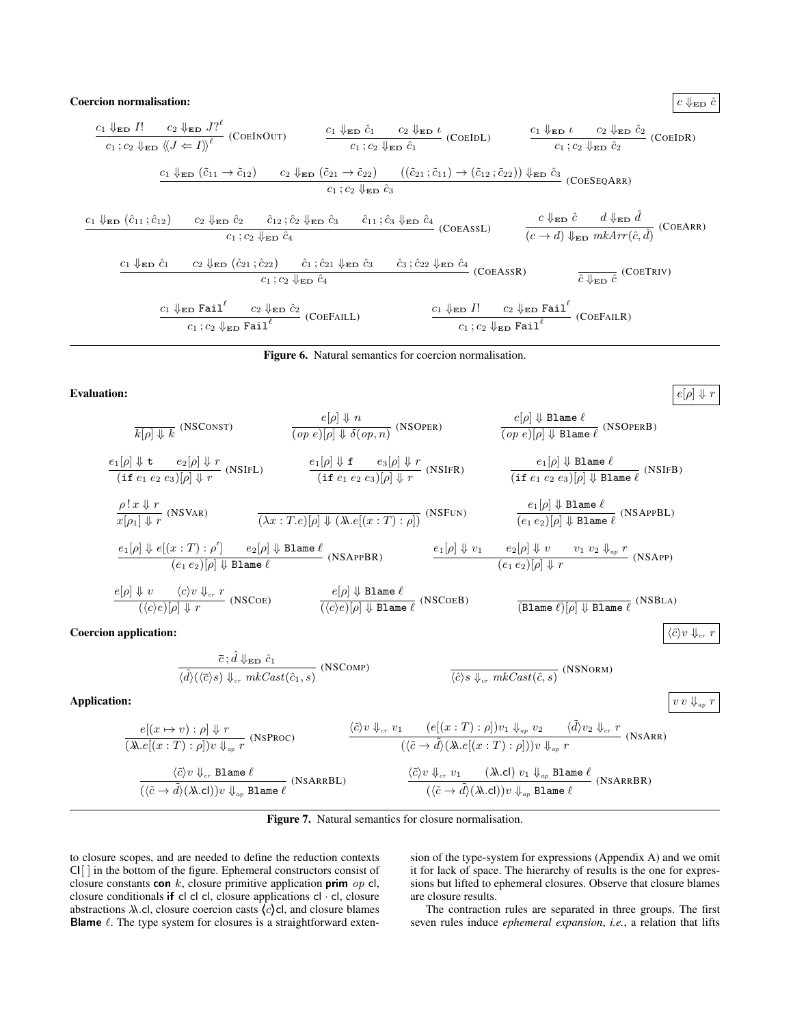#### **Coercion normalisation:** c  $\downarrow$ ED  $\hat{c}$

$$
\frac{c_1 \downarrow_{ED} I! \quad c_2 \downarrow_{ED} J?^{\ell} (COEINOUT)}{c_1; c_2 \downarrow_{ED} (\tilde{c}_{11} \rightarrow \tilde{c}_{12})} \quad \frac{c_1 \downarrow_{ED} \hat{c}_1}{c_1; c_2 \downarrow_{ED} \hat{c}_1} (COEIDL) \quad \frac{c_1 \downarrow_{ED} \iota}{c_1; c_2 \downarrow_{ED} \hat{c}_2} (COEIDR)
$$
\n
$$
\frac{c_1 \downarrow_{ED} (\tilde{c}_{11} \rightarrow \tilde{c}_{12}) \quad c_2 \downarrow_{ED} (\tilde{c}_{21} \rightarrow \tilde{c}_{22}) \quad ((\tilde{c}_{21}; \tilde{c}_{11}) \rightarrow (\tilde{c}_{12}; \tilde{c}_{22})) \downarrow_{ED} \hat{c}_3}{c_1; c_2 \downarrow_{ED} \hat{c}_3} (COESEQARR)
$$
\n
$$
\frac{c_1 \downarrow_{ED} (\hat{c}_{11}; \hat{c}_{12}) \quad c_2 \downarrow_{ED} \hat{c}_2 \quad \hat{c}_{12}; \hat{c}_2 \downarrow_{ED} \hat{c}_3 \quad \hat{c}_{11}; \hat{c}_3 \downarrow_{ED} \hat{c}_4}{c_1; c_2 \downarrow_{ED} \hat{c}_4} (COEASSL) \quad \frac{c \downarrow_{ED} \hat{c} \quad d \downarrow_{ED} \hat{d}}{(c \rightarrow d) \downarrow_{ED} mkArr(\hat{c}, \hat{d})} (COEARR)
$$
\n
$$
\frac{c_1 \downarrow_{ED} (\hat{c}_{11}; \hat{c}_{12}) \quad c_2 \downarrow_{ED} \hat{c}_2}{c_1; c_2 \downarrow_{ED} \hat{c}_4} (COEASSR) \quad \frac{c \downarrow_{ED} \hat{c} \quad d \downarrow_{ED} \hat{d}}{(c \rightarrow d) \downarrow_{ED} mkArr(\hat{c}, \hat{d})} (COEARN)
$$
\n
$$
\frac{c_1 \downarrow_{ED} \hat{c}_1 \quad c_2 \downarrow_{ED} \hat{c}_4}{c_1; c_2 \downarrow_{ED} \hat{c}_4} (COEASR) \quad \frac{c_1 \downarrow_{ED} \hat{d}}{c_1; c_2 \downarrow_{ED} \hat{c
$$

<span id="page-6-0"></span>Figure 6. Natural semantics for coercion normalisation.

#### **Evaluation:**  $\begin{array}{c} |e[\rho]\Downarrow r \end{array}$

$$
\frac{e[\rho] \Downarrow n}{k[\rho] \Downarrow k} \quad (\text{NSCONST})
$$
\n
$$
\frac{e[\rho] \Downarrow n}{(op e)[\rho] \Downarrow \delta(op, n)} \quad (\text{NSOPER})
$$
\n
$$
\frac{e[\rho] \Downarrow \text{Blame } \ell}{(op e)[\rho] \Downarrow \text{Blame } \ell} \quad (\text{NSOPERB})
$$
\n
$$
\frac{e_1[\rho] \Downarrow \text{t}}{(if e_1 e_2 e_3)[\rho] \Downarrow r} \quad (\text{NSIFL})
$$
\n
$$
\frac{e_1[\rho] \Downarrow \text{t}}{(if e_1 e_2 e_3)[\rho] \Downarrow r} \quad (\text{NSIFR})
$$
\n
$$
\frac{\rho! x \Downarrow r}{x[\rho_1] \Downarrow r} \quad (\text{NSVAR})
$$
\n
$$
\frac{\rho! x \Downarrow r}{x[\rho_1] \Downarrow r} \quad (\text{NSVAR})
$$
\n
$$
\frac{e_1[\rho] \Downarrow \text{Elame } \ell}{(\lambda x \cdot T \cdot e)[\rho] \Downarrow (\lambda x \cdot e[(x \cdot T) : \rho])} \quad (\text{NSFW})
$$
\n
$$
\frac{e_1[\rho] \Downarrow \text{Blame } \ell}{(e_1 e_2)[\rho] \Downarrow \text{Blame } \ell} \quad (\text{NSAPBIL})
$$
\n
$$
\frac{e_1[\rho] \Downarrow \text{Elame } \ell}{(e_1 e_2)[\rho] \Downarrow \text{Blame } \ell} \quad (\text{NSAPBRE})
$$
\n
$$
\frac{e_1[\rho] \Downarrow v_1}{(e_1 e_2)[\rho] \Downarrow r} \quad (n\text{SAPPBR})
$$
\n
$$
\frac{e[\rho] \Downarrow v_1}{(e_1 e_2)[\rho] \Downarrow r} \quad (\text{NSAPPBRE})
$$
\n
$$
\frac{e[\rho] \Downarrow v_1}{(e_1 e_2)[\rho] \Downarrow r} \quad (\text{NSAPPBRE})
$$
\n
$$
\frac{e[\rho] \Downarrow v_1}{(e_1 e_2)[\rho] \Downarrow r} \quad (\text{NSAPPBRE})
$$
\n
$$
\frac{e[\rho] \Downarrow \text{Elame } \ell}{(\langle c \rangle e)[\rho] \
$$

**Coercion application:**  $\langle \hat{c} \rangle v \Downarrow_{cr} r$ 

$$
\frac{\overline{c}:\hat{d} \Downarrow_{\mathbf{ED}} \hat{c}_1}{\langle \hat{d} \rangle (\langle \overline{c} \rangle s) \Downarrow_{cr} mkCast(\hat{c}_1, s)}
$$
 (NSCOMP)

**Application:** 
$$
\begin{array}{c|c} v \, v \, \mathbb{U}_{ap} \, r \end{array}
$$

$$
\frac{e[(x \mapsto v) : \rho] \Downarrow r}{(\lambda \cdot e[(x : T) : \rho])v \Downarrow_{ap} r} \text{ (NSPROC)} \qquad \frac{\langle \tilde{c} \rangle v \Downarrow_{cr} v_1 \qquad (e[(x : T) : \rho])v_1 \Downarrow_{ap} v_2 \qquad \langle \tilde{d} \rangle v_2 \Downarrow_{cr} r}{(\langle \tilde{c} \to \tilde{d} \rangle (\lambda \cdot e[(x : T) : \rho])v \Downarrow_{ap} r} \text{ (NSARR)} \qquad \frac{\langle \tilde{c} \rangle v \Downarrow_{cr} \text{Blame } \ell}{(\langle \tilde{c} \to \tilde{d} \rangle (\lambda \cdot c])v \Downarrow_{ap} \text{Blame } \ell} \qquad \frac{\langle \tilde{c} \rangle v \Downarrow_{cr} v_1 \qquad (\lambda \cdot cI) v_1 \Downarrow_{ap} \text{Blame } \ell}{(\langle \tilde{c} \to \tilde{d} \rangle (\lambda \cdot cI))v \Downarrow_{ap} \text{Blame } \ell} \text{ (NSARRBR)}
$$

<span id="page-6-1"></span>Figure 7. Natural semantics for closure normalisation.

to closure scopes, and are needed to define the reduction contexts Cl[ ] in the bottom of the figure. Ephemeral constructors consist of closure constants con  $k$ , closure primitive application prim  $op$  cl, closure conditionals if cl cl cl, closure applications cl · cl, closure abstractions  $\lambda$ .cl, closure coercion casts  $\langle c \rangle$ cl, and closure blames **Blame**  $\ell$ . The type system for closures is a straightforward extension of the type-system for expressions (Appendix [A\)](#page-10-11) and we omit it for lack of space. The hierarchy of results is the one for expressions but lifted to ephemeral closures. Observe that closure blames are closure results.

 $\langle \hat{c} \rangle s \Downarrow_{cr} mkCast(\hat{c}, s)$ <sup>(NSNORM)</sup>

The contraction rules are separated in three groups. The first seven rules induce *ephemeral expansion*, *i.e.*, a relation that lifts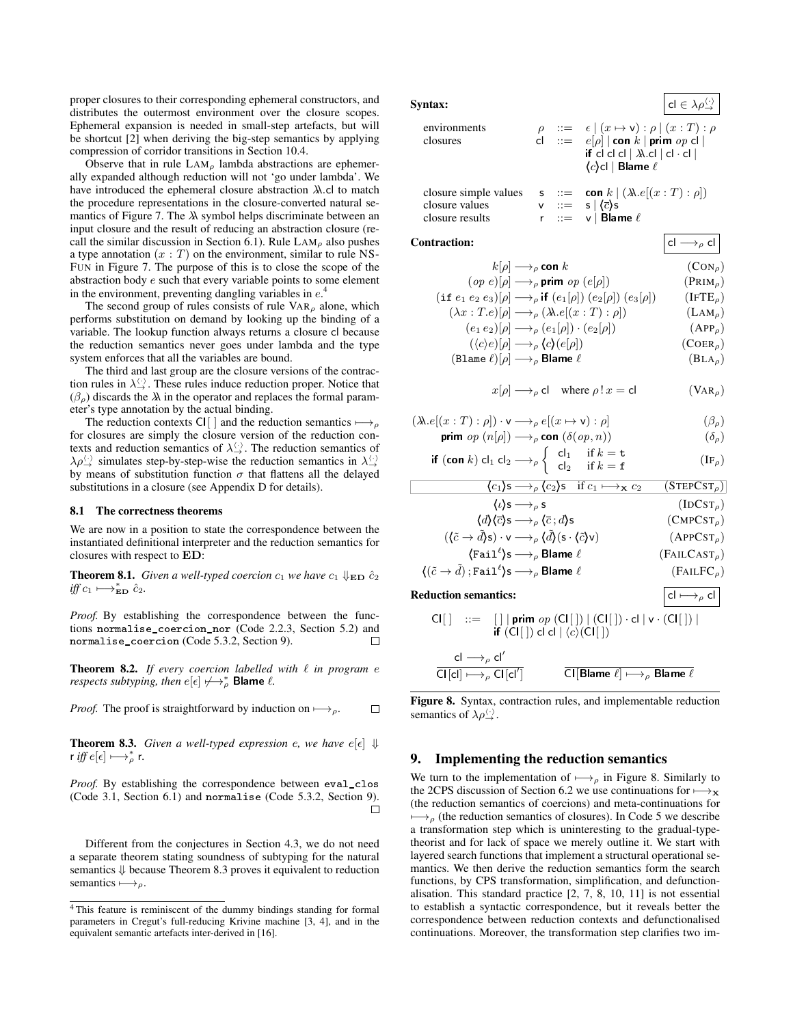proper closures to their corresponding ephemeral constructors, and distributes the outermost environment over the closure scopes. Ephemeral expansion is needed in small-step artefacts, but will be shortcut [\[2\]](#page-10-17) when deriving the big-step semantics by applying compression of corridor transitions in Section [10.4.](#page-8-1)

Observe that in rule  $\text{LAM}_\rho$  lambda abstractions are ephemerally expanded although reduction will not 'go under lambda'. We have introduced the ephemeral closure abstraction λλ.cl to match the procedure representations in the closure-converted natural se-mantics of Figure [7.](#page-6-1) The  $\lambda$  symbol helps discriminate between an input closure and the result of reducing an abstraction closure (re-call the similar discussion in Section [6.1\)](#page-5-3). Rule  $\text{LAM}_\rho$  also pushes a type annotation  $(x : T)$  on the environment, similar to rule NS-FUN in Figure [7.](#page-6-1) The purpose of this is to close the scope of the abstraction body e such that every variable points to some element in the environment, preventing dangling variables in  $e^4$  $e^4$ .

The second group of rules consists of rule  $VAR_{\rho}$  alone, which performs substitution on demand by looking up the binding of a variable. The lookup function always returns a closure cl because the reduction semantics never goes under lambda and the type system enforces that all the variables are bound.

The third and last group are the closure versions of the contraction rules in  $\lambda_{\rightarrow}^{\langle \cdot \rangle}$ . These rules induce reduction proper. Notice that  $(\beta_{\rho})$  discards the  $\lambda$  in the operator and replaces the formal parameter's type annotation by the actual binding.

The reduction contexts Cl[ ] and the reduction semantics  $\mapsto$ <sub>ρ</sub> for closures are simply the closure version of the reduction contexts and reduction semantics of  $\lambda_{\rightarrow}^{(.)}$ . The reduction semantics of  $\lambda \rho_{\rightarrow}^{(.)}$  simulates step-by-step-wise the reduction semantics in  $\lambda_{\rightarrow}^{(.)}$ by means of substitution function  $\sigma$  that flattens all the delayed substitutions in a closure (see Appendix [D](#page-11-1) for details).

#### <span id="page-7-0"></span>8.1 The correctness theorems

We are now in a position to state the correspondence between the instantiated definitional interpreter and the reduction semantics for closures with respect to ED:

<span id="page-7-5"></span>**Theorem 8.1.** *Given a well-typed coercion*  $c_1$  *we have*  $c_1 \Downarrow_{ED} \hat{c}_2$  $iff c_1 \longmapsto_{\mathbf{ED}}^* \hat{c}_2.$ 

*Proof.* By establishing the correspondence between the functions normalise\_coercion\_nor (Code 2.2.3, Section [5.2\)](#page-5-2) and normalise\_coercion (Code 5.3.2, Section [9\)](#page-7-3). П

**Theorem 8.2.** If every coercion labelled with  $\ell$  in program  $\epsilon$ *respects subtyping, then*  $e[\epsilon] \not\longleftrightarrow_{\rho}^*$  **Blame**  $\ell$ .

*Proof.* The proof is straightforward by induction on  $\mapsto$ <sub>ρ</sub>.  $\Box$ 

<span id="page-7-4"></span>**Theorem 8.3.** *Given a well-typed expression e, we have*  $e[\epsilon] \Downarrow$ r *iff*  $e[\epsilon] \longmapsto^*_{\rho}$  r.

*Proof.* By establishing the correspondence between eval\_clos (Code 3.1, Section [6.1\)](#page-5-3) and normalise (Code 5.3.2, Section [9\)](#page-7-3). П

Different from the conjectures in Section [4.3,](#page-3-3) we do not need a separate theorem stating soundness of subtyping for the natural semantics  $\Downarrow$  because Theorem [8.3](#page-7-4) proves it equivalent to reduction semantics  $\longmapsto$ <sub>ρ</sub>.

| Syntax:                                                                                                                                                                                                                                                                                                                                                                                                                                                                                                                  |  |                                                                                                                                                                                                                    | cl $\in \lambda \rho_{\rightarrow}^{(1)}$                                                                                                                  |
|--------------------------------------------------------------------------------------------------------------------------------------------------------------------------------------------------------------------------------------------------------------------------------------------------------------------------------------------------------------------------------------------------------------------------------------------------------------------------------------------------------------------------|--|--------------------------------------------------------------------------------------------------------------------------------------------------------------------------------------------------------------------|------------------------------------------------------------------------------------------------------------------------------------------------------------|
| environments<br>closures                                                                                                                                                                                                                                                                                                                                                                                                                                                                                                 |  | $\rho$ : $=$ $\epsilon   (x \mapsto v) : \rho   (x : T) : \rho$<br>cl ::= $e[\rho]$   con k   prim op cl  <br>if cl cl cl $\mid$ $\lambda$ cl $\mid$ cl $\cdot$ cl $\mid$<br>$\langle c \rangle$ cl   Blame $\ell$ |                                                                                                                                                            |
| closure simple values $s ::= \text{con } k   (\lambda \lambda . e   (x : T) : \rho) )$<br>closure values<br>closure results                                                                                                                                                                                                                                                                                                                                                                                              |  | v ::= s $\langle \overline{c} \rangle$ s<br>r ::= $v \mid$ Blame $\ell$                                                                                                                                            |                                                                                                                                                            |
| <b>Contraction:</b>                                                                                                                                                                                                                                                                                                                                                                                                                                                                                                      |  |                                                                                                                                                                                                                    | cl $\longrightarrow_{\rho}$ cl                                                                                                                             |
| $k \rho  \longrightarrow_{\rho}$ con $k$<br>$(op e)[\rho] \longrightarrow_{\rho}$ prim $op(e[\rho])$<br>(if $e_1 e_2 e_3$ )[ $\rho$ ] $\longrightarrow$ if $(e_1[\rho]) (e_2[\rho]) (e_3[\rho])$<br>$(\lambda x : T.e)[\rho] \longrightarrow_{\rho} (\lambda \lambda . e[(x : T) : \rho])$<br>$(e_1 e_2)[\rho] \longrightarrow_{\rho} (e_1[\rho]) \cdot (e_2[\rho])$<br>$(\langle c \rangle e)[\rho] \longrightarrow_{\rho} \langle c \rangle (e[\rho])$<br>(Blame $\ell$ ) $[\rho] \longrightarrow_{\rho}$ Blame $\ell$ |  |                                                                                                                                                                                                                    | (CON <sub>o</sub> )<br>$(\text{PRIM}_{\rho})$<br>$(\text{IFTE}_{\rho})$<br>$(LAM_{\rho})$<br>$(\text{APP}_\rho)$<br>$(CoER_{\rho})$<br>(BLA <sub>o</sub> ) |
|                                                                                                                                                                                                                                                                                                                                                                                                                                                                                                                          |  | $x \rho  \longrightarrow_{\rho}$ cl where $\rho! x =$ cl                                                                                                                                                           | $(VAR_{\rho})$                                                                                                                                             |

$$
(\lambda \cdot e[(x:T): \rho]) \cdot \mathsf{v} \longrightarrow_{\rho} e[(x \mapsto \mathsf{v}) : \rho]
$$
  
\n
$$
\text{prim } op \ (n[\rho]) \longrightarrow_{\rho} \text{con } (\delta(op, n))
$$
  
\n
$$
(\delta_{\rho})
$$

$$
\text{if } (\text{con } k) \text{ cl}_1 \text{ cl}_2 \longrightarrow_{\rho} \left\{ \begin{array}{cl} \text{cl}_1 & \text{if } k = \texttt{t} \\ \text{cl}_2 & \text{if } k = \texttt{f} \end{array} \right. \tag{IF}_{\rho}
$$

| $\langle c_1 \rangle$ s $\longrightarrow$ $\langle c_2 \rangle$ s if $c_1 \longmapsto$ $c_2$                                                             | $(STEPCST_{\rho})$  |
|----------------------------------------------------------------------------------------------------------------------------------------------------------|---------------------|
| $\langle t \rangle$ s $\longrightarrow$ <sub>o</sub> s                                                                                                   | (IDENT)             |
| $\langle d \rangle \langle \overline{c} \rangle$ s $\longrightarrow$ <sub>o</sub> $\langle \overline{c}$ ; $d \rangle$ s                                 | $(CMPCST_{\rho})$   |
| $(\langle \tilde{c} \rightarrow \tilde{d} \rangle) \cdot v \rightarrow \rightarrow \rho \langle \tilde{d} \rangle (s \cdot \langle \tilde{c} \rangle v)$ | $(APPCST_{\rho})$   |
| $\langle \text{Fair}^{\ell} \rangle$ s $\longrightarrow_{\rho}$ Blame $\ell$                                                                             | $(FAILCAST_{\rho})$ |
| $\langle(\tilde{c}\rightarrow\tilde{d})\,;\texttt{Fall}^{\ell}\rangle$ s $\longrightarrow_{\rho}$ Blame $\ell$                                           | $(FAILFC_{\rho})$   |

**Reduction semantics:**  $|c| \mapsto_{\rho} c|$ 

$$
\begin{array}{rcl}\n\mathsf{Cl}\left[\ \right] & ::= & \left[ \ \right] \mid \mathsf{prim}\ op\left(\mathsf{Cl}\left[\ \right] \right) \mid \left(\mathsf{Cl}\left[\ \right] \right) \cdot \mathsf{cl} \mid \mathsf{v} \cdot \left(\mathsf{Cl}\left[\ \right] \right) \mid \\
& & \qquad \qquad \mathsf{if}\left(\mathsf{Cl}\left[\ \right] \right) \mathsf{cl} \mathsf{cl} \mid \left\langle c\right\rangle\left(\mathsf{Cl}\left[\ \right] \right)\n\end{array}
$$
\n
$$
\begin{array}{rcl}\n\mathsf{cl} \longrightarrow_{\rho} \mathsf{cl}' \\
\hline\n\mathsf{Cl}\left[\mathsf{cl}\right] \longmapsto_{\rho} \mathsf{Cl}\left[\mathsf{cl}'\right]\n\end{array}\n\qquad\n\begin{array}{rcl}\n\mathsf{Cl}\left[\mathsf{Blame}\ \ell\right] \longmapsto_{\rho}\mathsf{Blame}\ \ell\n\end{array}
$$

Cl[Blame  $\ell$ ]  $\longmapsto_{\rho}$  Blame  $\ell$ 

<span id="page-7-1"></span>Figure 8. Syntax, contraction rules, and implementable reduction semantics of  $\lambda \rho^{(1)}$ .

#### <span id="page-7-3"></span>9. Implementing the reduction semantics

We turn to the implementation of  $\mapsto$ <sub>ρ</sub> in Figure [8.](#page-7-1) Similarly to the 2CPS discussion of Section [6.2](#page-5-4) we use continuations for  $\mapsto$ <sub>x</sub> (the reduction semantics of coercions) and meta-continuations for  $\mapsto$ <sub>ρ</sub> (the reduction semantics of closures). In Code 5 we describe a transformation step which is uninteresting to the gradual-typetheorist and for lack of space we merely outline it. We start with layered search functions that implement a structural operational semantics. We then derive the reduction semantics form the search functions, by CPS transformation, simplification, and defunctionalisation. This standard practice [\[2,](#page-10-17) [7,](#page-10-9) [8,](#page-10-14) [10,](#page-10-20) [11\]](#page-10-15) is not essential to establish a syntactic correspondence, but it reveals better the correspondence between reduction contexts and defunctionalised continuations. Moreover, the transformation step clarifies two im-

<span id="page-7-2"></span><sup>4</sup> This feature is reminiscent of the dummy bindings standing for formal parameters in Cregut's full-reducing Krivine machine [\[3,](#page-10-18) [4\]](#page-10-19), and in the equivalent semantic artefacts inter-derived in [\[16\]](#page-10-1).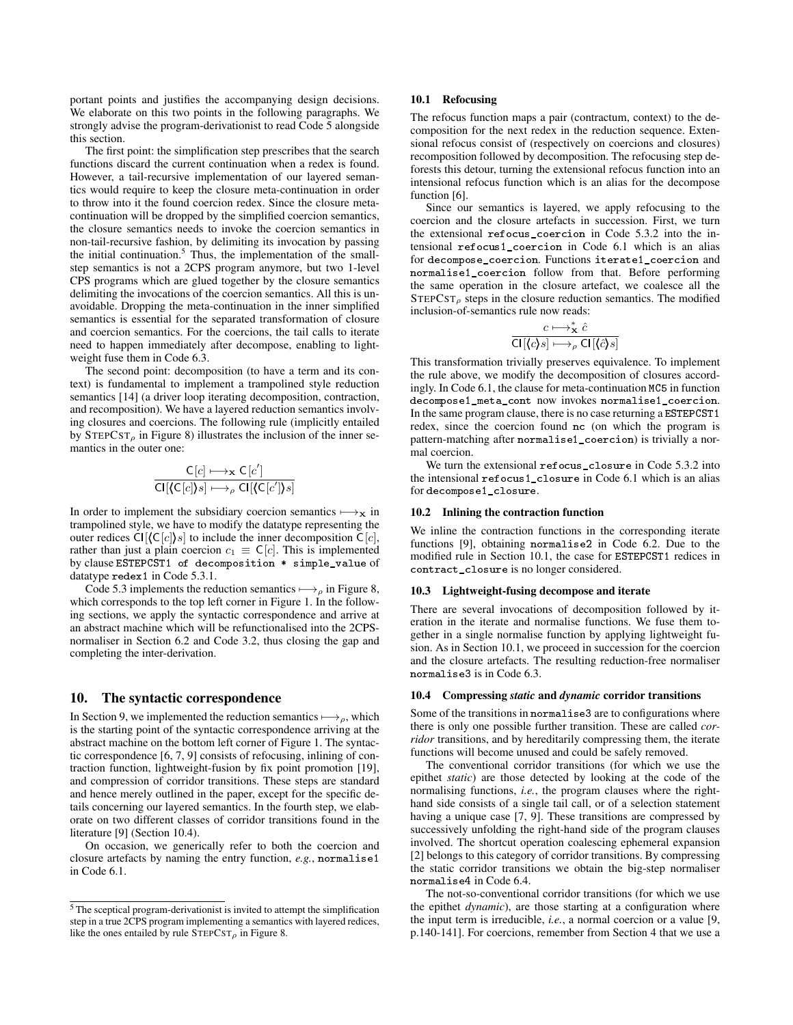portant points and justifies the accompanying design decisions. We elaborate on this two points in the following paragraphs. We strongly advise the program-derivationist to read Code 5 alongside this section.

The first point: the simplification step prescribes that the search functions discard the current continuation when a redex is found. However, a tail-recursive implementation of our layered semantics would require to keep the closure meta-continuation in order to throw into it the found coercion redex. Since the closure metacontinuation will be dropped by the simplified coercion semantics, the closure semantics needs to invoke the coercion semantics in non-tail-recursive fashion, by delimiting its invocation by passing the initial continuation.<sup>[5](#page-8-2)</sup> Thus, the implementation of the smallstep semantics is not a 2CPS program anymore, but two 1-level CPS programs which are glued together by the closure semantics delimiting the invocations of the coercion semantics. All this is unavoidable. Dropping the meta-continuation in the inner simplified semantics is essential for the separated transformation of closure and coercion semantics. For the coercions, the tail calls to iterate need to happen immediately after decompose, enabling to lightweight fuse them in Code 6.3.

The second point: decomposition (to have a term and its context) is fundamental to implement a trampolined style reduction semantics [\[14\]](#page-10-21) (a driver loop iterating decomposition, contraction, and recomposition). We have a layered reduction semantics involving closures and coercions. The following rule (implicitly entailed by  $STEPCST_{\rho}$  in Figure [8\)](#page-7-1) illustrates the inclusion of the inner semantics in the outer one:

$$
\frac{\mathsf{C}[c] \longmapsto \mathbf{x} \mathsf{C}[c']}{\mathsf{C}[\{\mathsf{C}[c] \setminus s] \longmapsto \rho \mathsf{C}[\{\mathsf{C}[c'] \setminus s]}
$$

In order to implement the subsidiary coercion semantics  $\mapsto$ <sub>x</sub> in trampolined style, we have to modify the datatype representing the outer redices  $C\left[\frac{\binom{n}{c}}{s}\right]$  to include the inner decomposition  $C[c]$ , rather than just a plain coercion  $c_1 \equiv C[c]$ . This is implemented by clause ESTEPCST1 of decomposition \* simple\_value of datatype redex1 in Code 5.3.1.

Code 5.3 implements the reduction semantics  $\mapsto$ <sub>ρ</sub> in Figure [8,](#page-7-1) which corresponds to the top left corner in Figure [1.](#page-1-0) In the following sections, we apply the syntactic correspondence and arrive at an abstract machine which will be refunctionalised into the 2CPSnormaliser in Section [6.2](#page-5-4) and Code 3.2, thus closing the gap and completing the inter-derivation.

#### <span id="page-8-0"></span>10. The syntactic correspondence

In Section [9,](#page-7-3) we implemented the reduction semantics  $\mapsto$ <sub>ρ</sub>, which is the starting point of the syntactic correspondence arriving at the abstract machine on the bottom left corner of Figure [1.](#page-1-0) The syntactic correspondence [\[6,](#page-10-8) [7,](#page-10-9) [9\]](#page-10-10) consists of refocusing, inlining of contraction function, lightweight-fusion by fix point promotion [\[19\]](#page-10-13), and compression of corridor transitions. These steps are standard and hence merely outlined in the paper, except for the specific details concerning our layered semantics. In the fourth step, we elaborate on two different classes of corridor transitions found in the literature [\[9\]](#page-10-10) (Section [10.4\)](#page-8-1).

On occasion, we generically refer to both the coercion and closure artefacts by naming the entry function, *e.g.*, normalise1 in Code 6.1.

#### <span id="page-8-3"></span>10.1 Refocusing

The refocus function maps a pair (contractum, context) to the decomposition for the next redex in the reduction sequence. Extensional refocus consist of (respectively on coercions and closures) recomposition followed by decomposition. The refocusing step deforests this detour, turning the extensional refocus function into an intensional refocus function which is an alias for the decompose function [\[6\]](#page-10-8).

Since our semantics is layered, we apply refocusing to the coercion and the closure artefacts in succession. First, we turn the extensional refocus\_coercion in Code 5.3.2 into the intensional refocus1\_coercion in Code 6.1 which is an alias for decompose\_coercion. Functions iterate1\_coercion and normalise1\_coercion follow from that. Before performing the same operation in the closure artefact, we coalesce all the  $STEPCST_{\rho}$  steps in the closure reduction semantics. The modified inclusion-of-semantics rule now reads:

$$
\frac{c \longmapsto^*_{\mathbf{x}} \hat{c}}{\text{CI}[\langle c \rangle s] \longmapsto_{\rho} \text{CI}[\langle \hat{c} \rangle s]}
$$

This transformation trivially preserves equivalence. To implement the rule above, we modify the decomposition of closures accordingly. In Code 6.1, the clause for meta-continuation MC5 in function decompose1\_meta\_cont now invokes normalise1\_coercion. In the same program clause, there is no case returning a ESTEPCST1 redex, since the coercion found nc (on which the program is pattern-matching after normalise1\_coercion) is trivially a normal coercion.

We turn the extensional refocus\_closure in Code 5.3.2 into the intensional refocus1\_closure in Code 6.1 which is an alias for decompose1\_closure.

#### 10.2 Inlining the contraction function

We inline the contraction functions in the corresponding iterate functions [\[9\]](#page-10-10), obtaining normalise2 in Code 6.2. Due to the modified rule in Section [10.1,](#page-8-3) the case for ESTEPCST1 redices in contract\_closure is no longer considered.

#### 10.3 Lightweight-fusing decompose and iterate

There are several invocations of decomposition followed by iteration in the iterate and normalise functions. We fuse them together in a single normalise function by applying lightweight fusion. As in Section [10.1,](#page-8-3) we proceed in succession for the coercion and the closure artefacts. The resulting reduction-free normaliser normalise3 is in Code 6.3.

#### <span id="page-8-1"></span>10.4 Compressing *static* and *dynamic* corridor transitions

Some of the transitions in normalise3 are to configurations where there is only one possible further transition. These are called *corridor* transitions, and by hereditarily compressing them, the iterate functions will become unused and could be safely removed.

The conventional corridor transitions (for which we use the epithet *static*) are those detected by looking at the code of the normalising functions, *i.e.*, the program clauses where the righthand side consists of a single tail call, or of a selection statement having a unique case [\[7,](#page-10-9) [9\]](#page-10-10). These transitions are compressed by successively unfolding the right-hand side of the program clauses involved. The shortcut operation coalescing ephemeral expansion [\[2\]](#page-10-17) belongs to this category of corridor transitions. By compressing the static corridor transitions we obtain the big-step normaliser normalise4 in Code 6.4.

The not-so-conventional corridor transitions (for which we use the epithet *dynamic*), are those starting at a configuration where the input term is irreducible, *i.e.*, a normal coercion or a value [\[9,](#page-10-10) p.140-141]. For coercions, remember from Section [4](#page-3-0) that we use a

<span id="page-8-2"></span><sup>5</sup> The sceptical program-derivationist is invited to attempt the simplification step in a true 2CPS program implementing a semantics with layered redices, like the ones entailed by rule  $STEPCST_\rho$  in Figure [8.](#page-7-1)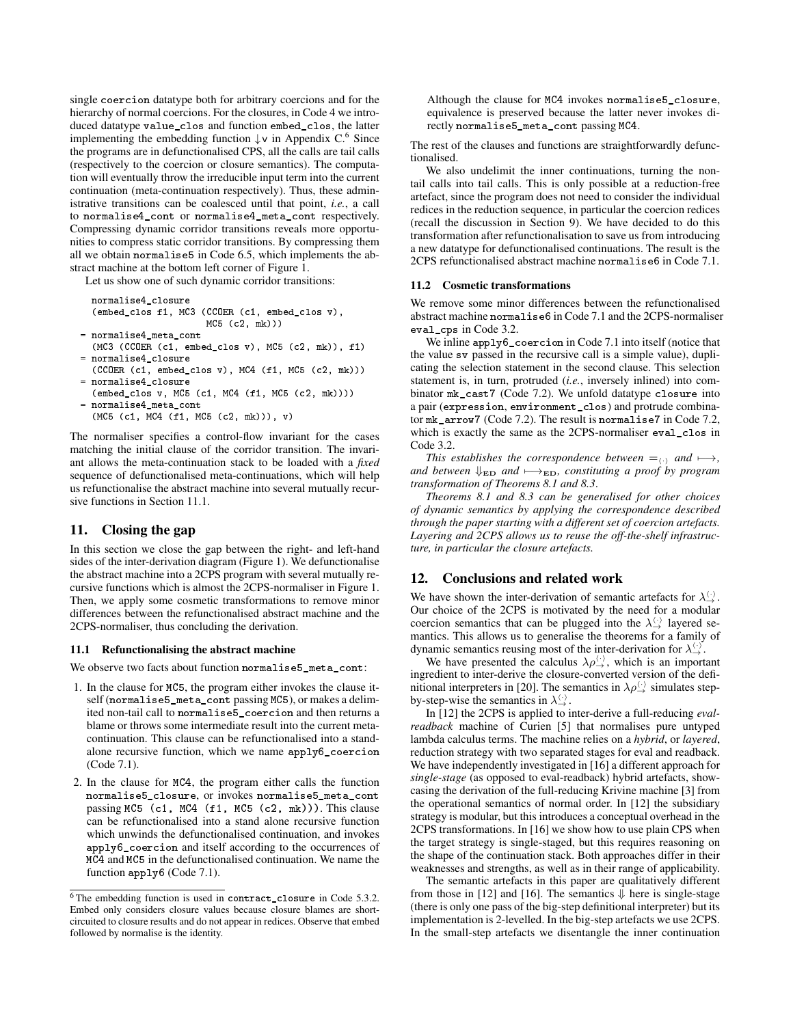single coercion datatype both for arbitrary coercions and for the hierarchy of normal coercions. For the closures, in Code 4 we introduced datatype value\_clos and function embed\_clos, the latter implementing the embedding function  $\downarrow$ v in Appendix [C.](#page-11-0)<sup>[6](#page-9-1)</sup> Since the programs are in defunctionalised CPS, all the calls are tail calls (respectively to the coercion or closure semantics). The computation will eventually throw the irreducible input term into the current continuation (meta-continuation respectively). Thus, these administrative transitions can be coalesced until that point, *i.e.*, a call to normalise4\_cont or normalise4\_meta\_cont respectively. Compressing dynamic corridor transitions reveals more opportunities to compress static corridor transitions. By compressing them all we obtain normalise5 in Code 6.5, which implements the abstract machine at the bottom left corner of Figure [1.](#page-1-0)

Let us show one of such dynamic corridor transitions:

```
normalise4_closure
(embed_clos f1, MC3 (CCOER (c1, embed_clos v),
                     MC5 (c2, mk)))
```
- = normalise4\_meta\_cont (MC3 (CCOER (c1, embed\_clos v), MC5 (c2, mk)), f1) normalise4\_closure
- (CCOER (c1, embed\_clos v), MC4 (f1, MC5 (c2, mk))) normalise4\_closure
- (embed\_clos v, MC5 (c1, MC4 (f1, MC5 (c2, mk)))) = normalise4\_meta\_cont
- (MC5 (c1, MC4 (f1, MC5 (c2, mk))), v)

The normaliser specifies a control-flow invariant for the cases matching the initial clause of the corridor transition. The invariant allows the meta-continuation stack to be loaded with a *fixed* sequence of defunctionalised meta-continuations, which will help us refunctionalise the abstract machine into several mutually recursive functions in Section [11.1.](#page-9-2)

### 11. Closing the gap

In this section we close the gap between the right- and left-hand sides of the inter-derivation diagram (Figure [1\)](#page-1-0). We defunctionalise the abstract machine into a 2CPS program with several mutually recursive functions which is almost the 2CPS-normaliser in Figure [1.](#page-1-0) Then, we apply some cosmetic transformations to remove minor differences between the refunctionalised abstract machine and the 2CPS-normaliser, thus concluding the derivation.

#### <span id="page-9-2"></span>11.1 Refunctionalising the abstract machine

We observe two facts about function normalise5\_meta\_cont:

- 1. In the clause for MC5, the program either invokes the clause itself (normalise5\_meta\_cont passing MC5), or makes a delimited non-tail call to normalise5\_coercion and then returns a blame or throws some intermediate result into the current metacontinuation. This clause can be refunctionalised into a standalone recursive function, which we name apply6\_coercion (Code 7.1).
- 2. In the clause for MC4, the program either calls the function normalise5\_closure, or invokes normalise5\_meta\_cont passing MC5 (c1, MC4 (f1, MC5 (c2, mk))). This clause can be refunctionalised into a stand alone recursive function which unwinds the defunctionalised continuation, and invokes apply6\_coercion and itself according to the occurrences of MC4 and MC5 in the defunctionalised continuation. We name the function apply6 (Code 7.1).

Although the clause for MC4 invokes normalise5\_closure, equivalence is preserved because the latter never invokes directly normalise5\_meta\_cont passing MC4.

The rest of the clauses and functions are straightforwardly defunctionalised.

We also undelimit the inner continuations, turning the nontail calls into tail calls. This is only possible at a reduction-free artefact, since the program does not need to consider the individual redices in the reduction sequence, in particular the coercion redices (recall the discussion in Section [9\)](#page-7-3). We have decided to do this transformation after refunctionalisation to save us from introducing a new datatype for defunctionalised continuations. The result is the 2CPS refunctionalised abstract machine normalise6 in Code 7.1.

#### <span id="page-9-0"></span>11.2 Cosmetic transformations

We remove some minor differences between the refunctionalised abstract machine normalise6 in Code 7.1 and the 2CPS-normaliser eval\_cps in Code 3.2.

We inline apply6\_coercion in Code 7.1 into itself (notice that the value sv passed in the recursive call is a simple value), duplicating the selection statement in the second clause. This selection statement is, in turn, protruded (*i.e.*, inversely inlined) into combinator mk\_cast7 (Code 7.2). We unfold datatype closure into a pair (expression, environment\_clos) and protrude combinator mk\_arrow7 (Code 7.2). The result is normalise7 in Code 7.2, which is exactly the same as the 2CPS-normaliser eval\_clos in Code 3.2.

*This establishes the correspondence between*  $=_{\langle \cdot \rangle}$  *and*  $\longmapsto$ *, and between*  $\Downarrow$ <sub>ED</sub> *and*  $\mapsto$ <sub>ED</sub>, *constituting a proof by program transformation of Theorems [8.1](#page-7-5) and [8.3](#page-7-4)*.

*Theorems [8.1](#page-7-5) and [8.3](#page-7-4) can be generalised for other choices of dynamic semantics by applying the correspondence described through the paper starting with a different set of coercion artefacts. Layering and 2CPS allows us to reuse the off-the-shelf infrastructure, in particular the closure artefacts.*

### 12. Conclusions and related work

We have shown the inter-derivation of semantic artefacts for  $\lambda^{\langle \cdot \rangle}_\rightarrow$ . Our choice of the 2CPS is motivated by the need for a modular coercion semantics that can be plugged into the  $\lambda_{\rightarrow}^{(.)}$  layered semantics. This allows us to generalise the theorems for a family of dynamic semantics reusing most of the inter-derivation for  $\lambda^{\langle \cdot \rangle}$ .

We have presented the calculus  $\lambda \rho_{\rightarrow}^{(.)}$ , which is an important ingredient to inter-derive the closure-converted version of the defi-nitional interpreters in [\[20\]](#page-10-5). The semantics in  $\lambda \rho^{\langle \cdot \rangle}$  simulates stepby-step-wise the semantics in  $\lambda_{\rightarrow}^{\langle \cdot \rangle}$ .

In [\[12\]](#page-10-3) the 2CPS is applied to inter-derive a full-reducing *evalreadback* machine of Curien [\[5\]](#page-10-22) that normalises pure untyped lambda calculus terms. The machine relies on a *hybrid*, or *layered*, reduction strategy with two separated stages for eval and readback. We have independently investigated in [\[16\]](#page-10-1) a different approach for *single-stage* (as opposed to eval-readback) hybrid artefacts, showcasing the derivation of the full-reducing Krivine machine [\[3\]](#page-10-18) from the operational semantics of normal order. In [\[12\]](#page-10-3) the subsidiary strategy is modular, but this introduces a conceptual overhead in the 2CPS transformations. In [\[16\]](#page-10-1) we show how to use plain CPS when the target strategy is single-staged, but this requires reasoning on the shape of the continuation stack. Both approaches differ in their weaknesses and strengths, as well as in their range of applicability.

The semantic artefacts in this paper are qualitatively different from those in [\[12\]](#page-10-3) and [\[16\]](#page-10-1). The semantics  $\Downarrow$  here is single-stage (there is only one pass of the big-step definitional interpreter) but its implementation is 2-levelled. In the big-step artefacts we use 2CPS. In the small-step artefacts we disentangle the inner continuation

<span id="page-9-1"></span><sup>6</sup> The embedding function is used in contract\_closure in Code 5.3.2. Embed only considers closure values because closure blames are shortcircuited to closure results and do not appear in redices. Observe that embed followed by normalise is the identity.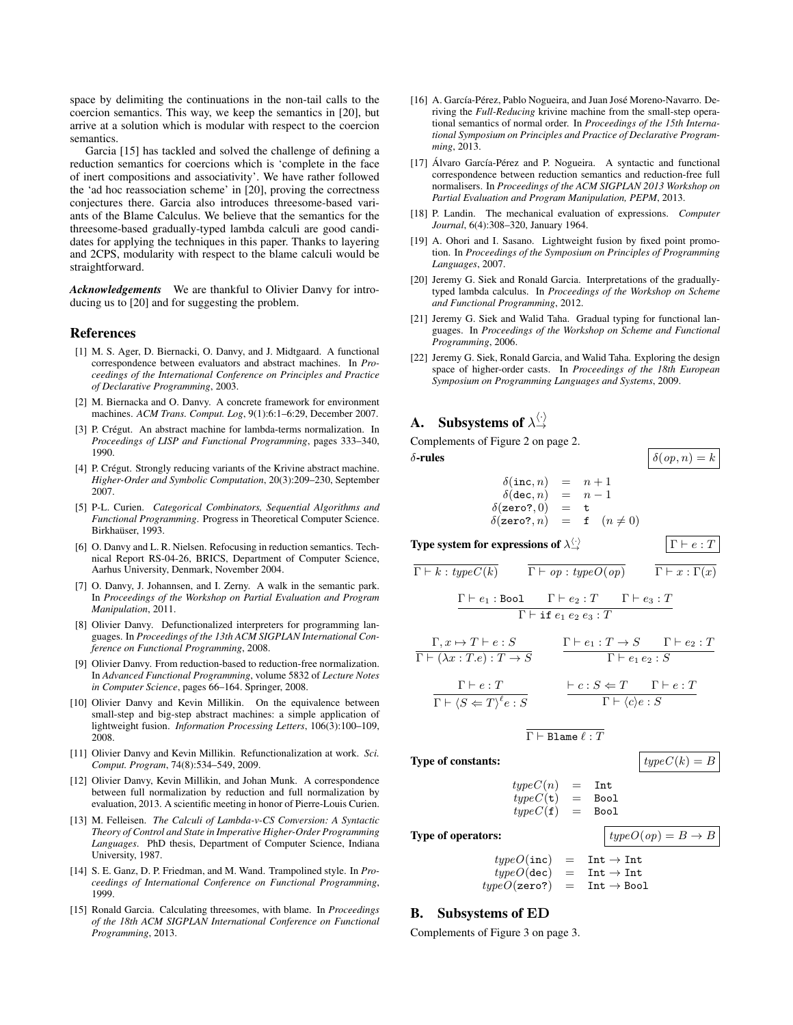space by delimiting the continuations in the non-tail calls to the coercion semantics. This way, we keep the semantics in [\[20\]](#page-10-5), but arrive at a solution which is modular with respect to the coercion semantics.

Garcia [\[15\]](#page-10-4) has tackled and solved the challenge of defining a reduction semantics for coercions which is 'complete in the face of inert compositions and associativity'. We have rather followed the 'ad hoc reassociation scheme' in [\[20\]](#page-10-5), proving the correctness conjectures there. Garcia also introduces threesome-based variants of the Blame Calculus. We believe that the semantics for the threesome-based gradually-typed lambda calculi are good candidates for applying the techniques in this paper. Thanks to layering and 2CPS, modularity with respect to the blame calculi would be straightforward.

*Acknowledgements* We are thankful to Olivier Danvy for introducing us to [\[20\]](#page-10-5) and for suggesting the problem.

#### References

- <span id="page-10-0"></span>[1] M. S. Ager, D. Biernacki, O. Danvy, and J. Midtgaard. A functional correspondence between evaluators and abstract machines. In *Proceedings of the International Conference on Principles and Practice of Declarative Programming*, 2003.
- <span id="page-10-17"></span>[2] M. Biernacka and O. Danvy. A concrete framework for environment machines. *ACM Trans. Comput. Log*, 9(1):6:1–6:29, December 2007.
- <span id="page-10-18"></span>[3] P. Crégut. An abstract machine for lambda-terms normalization. In *Proceedings of LISP and Functional Programming*, pages 333–340, 1990.
- <span id="page-10-19"></span>[4] P. Crégut. Strongly reducing variants of the Krivine abstract machine. *Higher-Order and Symbolic Computation*, 20(3):209–230, September 2007.
- <span id="page-10-22"></span>[5] P-L. Curien. *Categorical Combinators, Sequential Algorithms and Functional Programming*. Progress in Theoretical Computer Science. Birkhaüser, 1993.
- <span id="page-10-8"></span>[6] O. Danvy and L. R. Nielsen. Refocusing in reduction semantics. Technical Report RS-04-26, BRICS, Department of Computer Science, Aarhus University, Denmark, November 2004.
- <span id="page-10-9"></span>[7] O. Danvy, J. Johannsen, and I. Zerny. A walk in the semantic park. In *Proceedings of the Workshop on Partial Evaluation and Program Manipulation*, 2011.
- <span id="page-10-14"></span>[8] Olivier Danvy. Defunctionalized interpreters for programming languages. In *Proceedings of the 13th ACM SIGPLAN International Conference on Functional Programming*, 2008.
- <span id="page-10-10"></span>[9] Olivier Danvy. From reduction-based to reduction-free normalization. In *Advanced Functional Programming*, volume 5832 of *Lecture Notes in Computer Science*, pages 66–164. Springer, 2008.
- <span id="page-10-20"></span>[10] Olivier Danvy and Kevin Millikin. On the equivalence between small-step and big-step abstract machines: a simple application of lightweight fusion. *Information Processing Letters*, 106(3):100–109, 2008.
- <span id="page-10-15"></span>[11] Olivier Danvy and Kevin Millikin. Refunctionalization at work. *Sci. Comput. Program*, 74(8):534–549, 2009.
- <span id="page-10-3"></span>[12] Olivier Danvy, Kevin Millikin, and Johan Munk. A correspondence between full normalization by reduction and full normalization by evaluation, 2013. A scientific meeting in honor of Pierre-Louis Curien.
- <span id="page-10-7"></span>[13] M. Felleisen. *The Calculi of Lambda-v-CS Conversion: A Syntactic Theory of Control and State in Imperative Higher-Order Programming Languages*. PhD thesis, Department of Computer Science, Indiana University, 1987.
- <span id="page-10-21"></span>[14] S. E. Ganz, D. P. Friedman, and M. Wand. Trampolined style. In *Proceedings of International Conference on Functional Programming*, 1999.
- <span id="page-10-4"></span>[15] Ronald Garcia. Calculating threesomes, with blame. In *Proceedings of the 18th ACM SIGPLAN International Conference on Functional Programming*, 2013.
- <span id="page-10-1"></span>[16] A. García-Pérez, Pablo Nogueira, and Juan José Moreno-Navarro. Deriving the *Full-Reducing* krivine machine from the small-step operational semantics of normal order. In *Proceedings of the 15th International Symposium on Principles and Practice of Declarative Programming*, 2013.
- <span id="page-10-2"></span>[17] Álvaro García-Pérez and P. Nogueira. A syntactic and functional correspondence between reduction semantics and reduction-free full normalisers. In *Proceedings of the ACM SIGPLAN 2013 Workshop on Partial Evaluation and Program Manipulation, PEPM*, 2013.
- <span id="page-10-16"></span>[18] P. Landin. The mechanical evaluation of expressions. *Computer Journal*, 6(4):308–320, January 1964.
- <span id="page-10-13"></span>[19] A. Ohori and I. Sasano. Lightweight fusion by fixed point promotion. In *Proceedings of the Symposium on Principles of Programming Languages*, 2007.
- <span id="page-10-5"></span>[20] Jeremy G. Siek and Ronald Garcia. Interpretations of the graduallytyped lambda calculus. In *Proceedings of the Workshop on Scheme and Functional Programming*, 2012.
- [21] Jeremy G. Siek and Walid Taha. Gradual typing for functional languages. In *Proceedings of the Workshop on Scheme and Functional Programming*, 2006.
- <span id="page-10-6"></span>[22] Jeremy G. Siek, Ronald Garcia, and Walid Taha. Exploring the design space of higher-order casts. In *Proceedings of the 18th European Symposium on Programming Languages and Systems*, 2009.

# <span id="page-10-11"></span>A. Subsystems of  $\lambda_{\rightarrow}^{(1)}$

Complements of Figure [2](#page-1-3) on page [2.](#page-1-3)

 $\delta$ -rules  $\delta(\rho, n) = k$  $\delta(\texttt{inc}, n) = n + 1$  $\delta(\texttt{dec}, n) = n - 1$  $\delta$ (zero?, 0) = t  $\delta(\textsf{zero?}, n) = \textsf{f} \quad (n \neq 0)$ 

Type system for expressions of  $\lambda_{\rightarrow}^{(1)}$ 

$$
\xrightarrow{\langle \cdot \rangle} \qquad \qquad \Gamma \vdash e : T
$$

$$
\overline{\Gamma \vdash k : type C(k)} \qquad \overline{\Gamma \vdash op : type O(op)} \qquad \overline{\Gamma \vdash x : \Gamma(x)}
$$

$$
\overline{\phantom{a}}\phantom{a}
$$

$$
\frac{\Gamma\vdash e_1:\texttt{Bool}\qquad \Gamma\vdash e_2:T\qquad \Gamma\vdash e_3:T}{\Gamma\vdash \texttt{if}\ e_1\ e_2\ e_3:T}
$$

$$
\frac{\Gamma, x \mapsto T \vdash e : S}{\Gamma \vdash (\lambda x : T \cdot e) : T \to S} \qquad \frac{\Gamma \vdash e_1 : T \to S \qquad \Gamma \vdash e_2 : T}{\Gamma \vdash e_1 e_2 : S}
$$
\n
$$
\frac{\Gamma \vdash e : T}{\Gamma \vdash \langle S \Leftarrow T \rangle^{\ell} e : S} \qquad \frac{\vdash c : S \Leftarrow T \qquad \Gamma \vdash e : T}{\Gamma \vdash \langle c \rangle e : S}
$$

$$
\Gamma \vdash \mathtt{Blame}\ \ell : T
$$

**Type of constants:**  $\vert typeC(k) = B$ 

| typeC(n)      | $=$ | Int. |
|---------------|-----|------|
| $typeC(\tau)$ | $=$ | Bool |
| typeC(f)      | $=$ | Bool |

#### **Type of operators:**  $\vert typeO(op) = B \rightarrow B$

 $typeO(\texttt{inc}) = \texttt{Int} \rightarrow \texttt{Int}$  $typeO(\texttt{dec}) = \texttt{Int} \rightarrow \texttt{Int}$ <br> $peO(\texttt{zero?}) = \texttt{Int} \rightarrow \texttt{Bool}$  $typeO(\texttt{zero?})$  =

#### <span id="page-10-12"></span>B. Subsystems of ED

Complements of Figure [3](#page-2-3) on page [3.](#page-2-3)